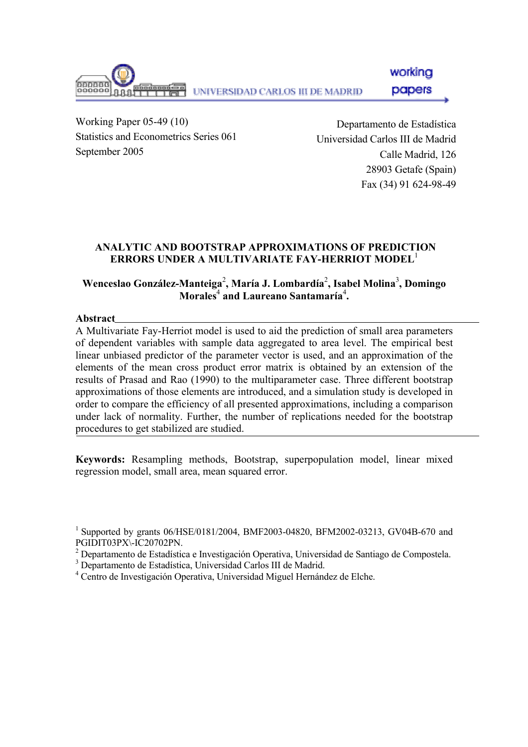working UNIVERSIDAD CARLOS III DE MADRID papers

Working Paper 05-49 (10) Statistics and Econometrics Series 061 September 2005

Departamento de Estadística Universidad Carlos III de Madrid Calle Madrid, 126 28903 Getafe (Spain) Fax (34) 91 624-98-49

## **ANALYTIC AND BOOTSTRAP APPROXIMATIONS OF PREDICTION ERRORS UNDER A MULTIVARIATE FAY-HERRIOT MODEL**<sup>1</sup>

## **Wenceslao González-Manteiga**<sup>2</sup> **, María J. Lombardía**<sup>2</sup> **, Isabel Molina**<sup>3</sup> **, Domingo Morales**<sup>4</sup>  **and Laureano Santamaría**<sup>4</sup> **.**

### **Abstract**

A Multivariate Fay-Herriot model is used to aid the prediction of small area parameters of dependent variables with sample data aggregated to area level. The empirical best linear unbiased predictor of the parameter vector is used, and an approximation of the elements of the mean cross product error matrix is obtained by an extension of the results of Prasad and Rao (1990) to the multiparameter case. Three different bootstrap approximations of those elements are introduced, and a simulation study is developed in order to compare the efficiency of all presented approximations, including a comparison under lack of normality. Further, the number of replications needed for the bootstrap procedures to get stabilized are studied.

**Keywords:** Resampling methods, Bootstrap, superpopulation model, linear mixed regression model, small area, mean squared error.

<sup>1</sup> Supported by grants 06/HSE/0181/2004, BMF2003-04820, BFM2002-03213, GV04B-670 and PGIDIT03PX\-IC20702PN.

- 3 Departamento de Estadística, Universidad Carlos III de Madrid.
- 4 Centro de Investigación Operativa, Universidad Miguel Hernández de Elche.

<sup>&</sup>lt;sup>2</sup> Departamento de Estadística e Investigación Operativa, Universidad de Santiago de Compostela.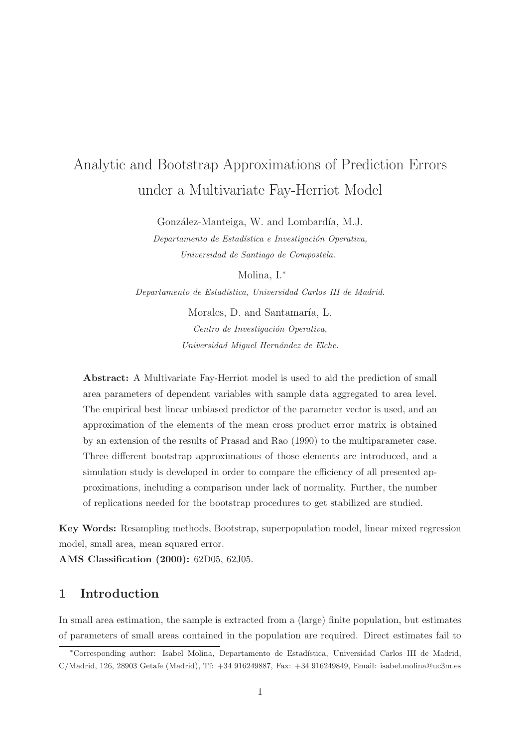# Analytic and Bootstrap Approximations of Prediction Errors under a Multivariate Fay-Herriot Model

González-Manteiga, W. and Lombardía, M.J.

Departamento de Estadística e Investigación Operativa, Universidad de Santiago de Compostela.

Molina, I.<sup>∗</sup>

Departamento de Estadística, Universidad Carlos III de Madrid.

Morales, D. and Santamaría, L. Centro de Investigación Operativa, Universidad Miquel Hernández de Elche.

Abstract: A Multivariate Fay-Herriot model is used to aid the prediction of small area parameters of dependent variables with sample data aggregated to area level. The empirical best linear unbiased predictor of the parameter vector is used, and an approximation of the elements of the mean cross product error matrix is obtained by an extension of the results of Prasad and Rao (1990) to the multiparameter case. Three different bootstrap approximations of those elements are introduced, and a simulation study is developed in order to compare the efficiency of all presented approximations, including a comparison under lack of normality. Further, the number of replications needed for the bootstrap procedures to get stabilized are studied.

Key Words: Resampling methods, Bootstrap, superpopulation model, linear mixed regression model, small area, mean squared error.

AMS Classification (2000): 62D05, 62J05.

## 1 Introduction

In small area estimation, the sample is extracted from a (large) finite population, but estimates of parameters of small areas contained in the population are required. Direct estimates fail to

<sup>∗</sup>Corresponding author: Isabel Molina, Departamento de Estad´ıstica, Universidad Carlos III de Madrid, C/Madrid, 126, 28903 Getafe (Madrid), Tf: +34 916249887, Fax: +34 916249849, Email: isabel.molina@uc3m.es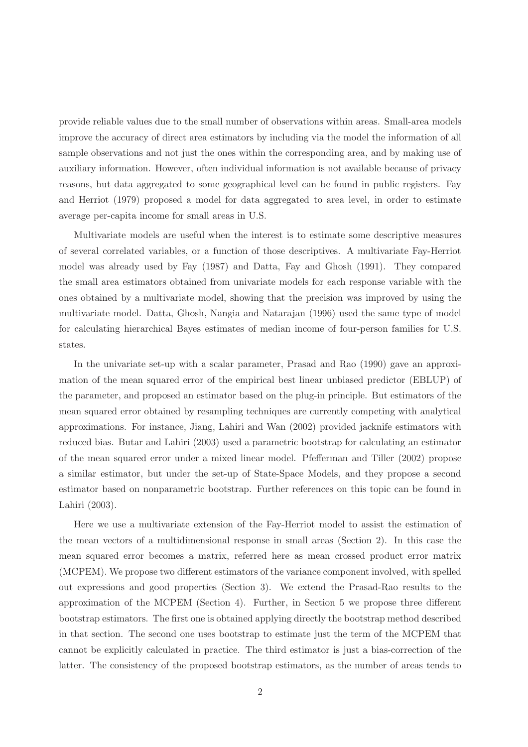provide reliable values due to the small number of observations within areas. Small-area models improve the accuracy of direct area estimators by including via the model the information of all sample observations and not just the ones within the corresponding area, and by making use of auxiliary information. However, often individual information is not available because of privacy reasons, but data aggregated to some geographical level can be found in public registers. Fay and Herriot (1979) proposed a model for data aggregated to area level, in order to estimate average per-capita income for small areas in U.S.

Multivariate models are useful when the interest is to estimate some descriptive measures of several correlated variables, or a function of those descriptives. A multivariate Fay-Herriot model was already used by Fay (1987) and Datta, Fay and Ghosh (1991). They compared the small area estimators obtained from univariate models for each response variable with the ones obtained by a multivariate model, showing that the precision was improved by using the multivariate model. Datta, Ghosh, Nangia and Natarajan (1996) used the same type of model for calculating hierarchical Bayes estimates of median income of four-person families for U.S. states.

In the univariate set-up with a scalar parameter, Prasad and Rao (1990) gave an approximation of the mean squared error of the empirical best linear unbiased predictor (EBLUP) of the parameter, and proposed an estimator based on the plug-in principle. But estimators of the mean squared error obtained by resampling techniques are currently competing with analytical approximations. For instance, Jiang, Lahiri and Wan (2002) provided jacknife estimators with reduced bias. Butar and Lahiri (2003) used a parametric bootstrap for calculating an estimator of the mean squared error under a mixed linear model. Pfefferman and Tiller (2002) propose a similar estimator, but under the set-up of State-Space Models, and they propose a second estimator based on nonparametric bootstrap. Further references on this topic can be found in Lahiri (2003).

Here we use a multivariate extension of the Fay-Herriot model to assist the estimation of the mean vectors of a multidimensional response in small areas (Section 2). In this case the mean squared error becomes a matrix, referred here as mean crossed product error matrix (MCPEM). We propose two different estimators of the variance component involved, with spelled out expressions and good properties (Section 3). We extend the Prasad-Rao results to the approximation of the MCPEM (Section 4). Further, in Section 5 we propose three different bootstrap estimators. The first one is obtained applying directly the bootstrap method described in that section. The second one uses bootstrap to estimate just the term of the MCPEM that cannot be explicitly calculated in practice. The third estimator is just a bias-correction of the latter. The consistency of the proposed bootstrap estimators, as the number of areas tends to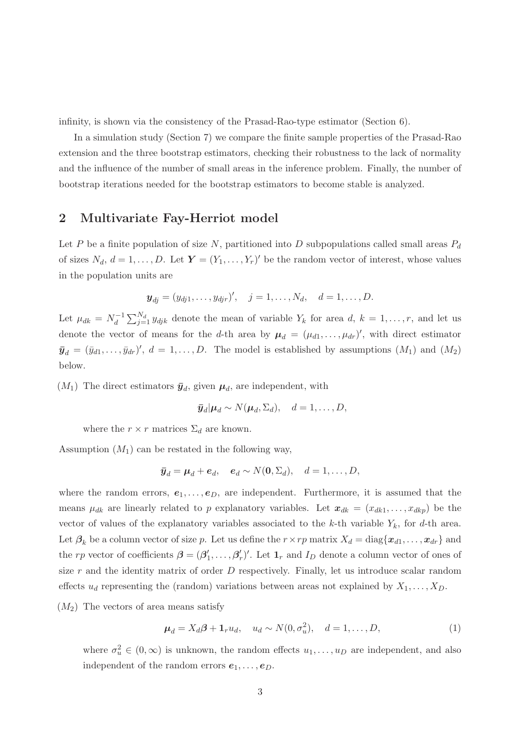infinity, is shown via the consistency of the Prasad-Rao-type estimator (Section 6).

In a simulation study (Section 7) we compare the finite sample properties of the Prasad-Rao extension and the three bootstrap estimators, checking their robustness to the lack of normality and the influence of the number of small areas in the inference problem. Finally, the number of bootstrap iterations needed for the bootstrap estimators to become stable is analyzed.

### 2 Multivariate Fay-Herriot model

Let P be a finite population of size N, partitioned into D subpopulations called small areas  $P_d$ of sizes  $N_d$ ,  $d = 1, ..., D$ . Let  $\boldsymbol{Y} = (Y_1, ..., Y_r)'$  be the random vector of interest, whose values in the population units are

$$
\mathbf{y}_{dj} = (y_{dj1}, \dots, y_{djr})', \quad j = 1, \dots, N_d, \quad d = 1, \dots, D.
$$

Let  $\mu_{dk} = N_d^{-1}$  $d_d^{-1} \sum_{j=1}^{N_d} y_{djk}$  denote the mean of variable  $Y_k$  for area  $d, k = 1, \ldots, r$ , and let us denote the vector of means for the d-th area by  $\mu_d = (\mu_{d1}, \dots, \mu_{dr})'$ , with direct estimator  $\bar{\mathbf{y}}_d = (\bar{y}_{d1}, \dots, \bar{y}_{dr})'$ ,  $d = 1, \dots, D$ . The model is established by assumptions  $(M_1)$  and  $(M_2)$ below.

 $(M_1)$  The direct estimators  $\bar{y}_d$ , given  $\mu_d$ , are independent, with

$$
\bar{y}_d | \mu_d \sim N(\mu_d, \Sigma_d), \quad d = 1, \ldots, D,
$$

where the  $r \times r$  matrices  $\Sigma_d$  are known.

Assumption  $(M_1)$  can be restated in the following way,

$$
\bar{y}_d = \mu_d + e_d, \quad e_d \sim N(0, \Sigma_d), \quad d = 1, \ldots, D,
$$

where the random errors,  $e_1, \ldots, e_D$ , are independent. Furthermore, it is assumed that the means  $\mu_{dk}$  are linearly related to p explanatory variables. Let  $x_{dk} = (x_{dk1}, \ldots, x_{dkp})$  be the vector of values of the explanatory variables associated to the k-th variable  $Y_k$ , for d-th area. Let  $\beta_k$  be a column vector of size p. Let us define the  $r \times rp$  matrix  $X_d = \text{diag}\{x_{d1}, \ldots, x_{dr}\}\$  and the rp vector of coefficients  $\boldsymbol{\beta} = (\boldsymbol{\beta}_1^T)$  $'_{1},\ldots,\beta'_{n}$  $r'$ , Let  $\mathbf{1}_r$  and  $I_D$  denote a column vector of ones of size  $r$  and the identity matrix of order  $D$  respectively. Finally, let us introduce scalar random effects  $u_d$  representing the (random) variations between areas not explained by  $X_1, \ldots, X_D$ .

 $(M_2)$  The vectors of area means satisfy

$$
\boldsymbol{\mu}_d = X_d \boldsymbol{\beta} + \mathbf{1}_r u_d, \quad u_d \sim N(0, \sigma_u^2), \quad d = 1, \dots, D,
$$
\n<sup>(1)</sup>

where  $\sigma_u^2 \in (0, \infty)$  is unknown, the random effects  $u_1, \ldots, u_D$  are independent, and also independent of the random errors  $e_1, \ldots, e_D$ .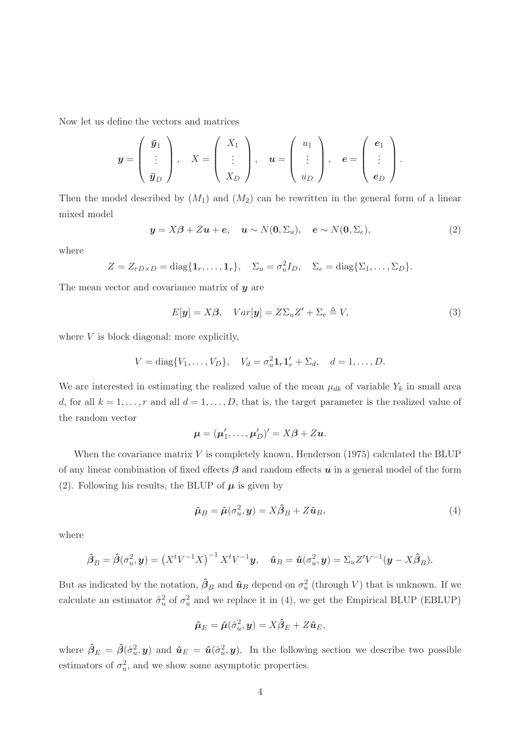Now let us define the vectors and matrices

$$
\mathbf{y} = \left(\begin{array}{c} \bar{\mathbf{y}}_1 \\ \vdots \\ \bar{\mathbf{y}}_D \end{array}\right), \quad X = \left(\begin{array}{c} X_1 \\ \vdots \\ X_D \end{array}\right), \quad \mathbf{u} = \left(\begin{array}{c} u_1 \\ \vdots \\ u_D \end{array}\right), \quad \mathbf{e} = \left(\begin{array}{c} \mathbf{e}_1 \\ \vdots \\ \mathbf{e}_D \end{array}\right).
$$

Then the model described by  $(M_1)$  and  $(M_2)$  can be rewritten in the general form of a linear mixed model

$$
\mathbf{y} = X\boldsymbol{\beta} + Z\mathbf{u} + \mathbf{e}, \quad \mathbf{u} \sim N(\mathbf{0}, \Sigma_u), \quad \mathbf{e} \sim N(\mathbf{0}, \Sigma_e), \tag{2}
$$

where

$$
Z = Z_{rD\times D} = \text{diag}\{\mathbf{1}_r,\ldots,\mathbf{1}_r\}, \quad \Sigma_u = \sigma_u^2 I_D, \quad \Sigma_e = \text{diag}\{\Sigma_1,\ldots,\Sigma_D\}.
$$

The mean vector and covariance matrix of  $y$  are

$$
E[\mathbf{y}] = X\beta, \quad Var[\mathbf{y}] = Z\Sigma_u Z' + \Sigma_e \triangleq V,\tag{3}
$$

where  $V$  is block diagonal; more explicitly,

$$
V = diag{V_1, ..., V_D}
$$
,  $V_d = \sigma_u^2 \mathbf{1}_r \mathbf{1}'_r + \Sigma_d$ ,  $d = 1, ..., D$ .

We are interested in estimating the realized value of the mean  $\mu_{dk}$  of variable  $Y_k$  in small area d, for all  $k = 1, \ldots, r$  and all  $d = 1, \ldots, D$ , that is, the target parameter is the realized value of the random vector

$$
\boldsymbol{\mu} = (\boldsymbol{\mu}'_1, \dots, \boldsymbol{\mu}'_D)' = X\boldsymbol{\beta} + Z\boldsymbol{u}.
$$

When the covariance matrix  $V$  is completely known, Henderson (1975) calculated the BLUP of any linear combination of fixed effects  $\beta$  and random effects  $u$  in a general model of the form (2). Following his results, the BLUP of  $\mu$  is given by

$$
\hat{\mu}_B = \hat{\mu}(\sigma_u^2, \mathbf{y}) = X\hat{\beta}_B + Z\hat{\mathbf{u}}_B,\tag{4}
$$

where

$$
\hat{\boldsymbol{\beta}}_B = \hat{\boldsymbol{\beta}}(\sigma_u^2, \mathbf{y}) = \left(X^t V^{-1} X\right)^{-1} X^t V^{-1} \mathbf{y}, \quad \hat{\mathbf{u}}_B = \hat{\mathbf{u}}(\sigma_u^2, \mathbf{y}) = \Sigma_u Z' V^{-1} (\mathbf{y} - X \hat{\boldsymbol{\beta}}_B).
$$

But as indicated by the notation,  $\hat{\beta}_B$  and  $\hat{u}_B$  depend on  $\sigma_u^2$  (through V) that is unknown. If we calculate an estimator  $\hat{\sigma}_u^2$  of  $\sigma_u^2$  and we replace it in (4), we get the Empirical BLUP (EBLUP)

$$
\hat{\boldsymbol{\mu}}_E = \hat{\boldsymbol{\mu}}(\hat{\sigma}_u^2, \boldsymbol{y}) = X\hat{\boldsymbol{\beta}}_E + Z\hat{\boldsymbol{u}}_E,
$$

where  $\hat{\beta}_E = \hat{\beta}(\hat{\sigma}_u^2, y)$  and  $\hat{\mathbf{u}}_E = \hat{\mathbf{u}}(\hat{\sigma}_u^2, y)$ . In the following section we describe two possible estimators of  $\sigma_u^2$ , and we show some asymptotic properties.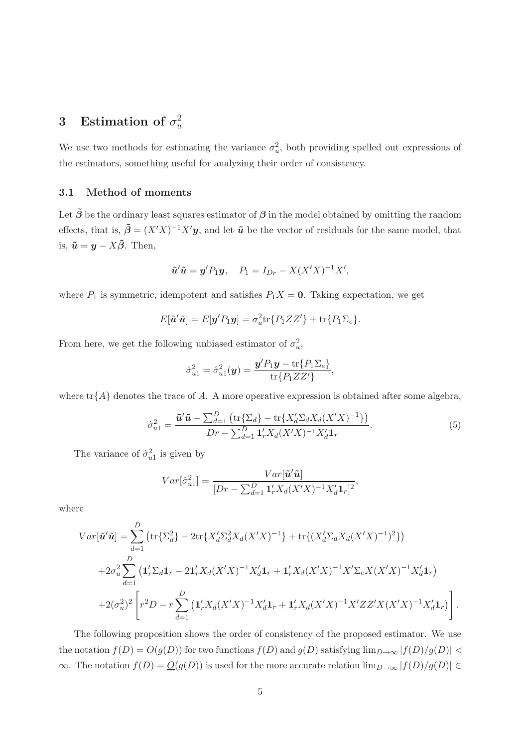#### 3 Estimation of  $\sigma_u^2$ u

We use two methods for estimating the variance  $\sigma_u^2$ , both providing spelled out expressions of the estimators, something useful for analyzing their order of consistency.

#### 3.1 Method of moments

Let  $\tilde{\beta}$  be the ordinary least squares estimator of  $\beta$  in the model obtained by omitting the random effects, that is,  $\tilde{\boldsymbol{\beta}} = (X'X)^{-1}X'$ **y**, and let  $\tilde{\boldsymbol{u}}$  be the vector of residuals for the same model, that is,  $\tilde{\boldsymbol{u}} = \boldsymbol{y} - \boldsymbol{X}\tilde{\boldsymbol{\beta}}$ . Then,

$$
\tilde{u}'\tilde{u} = y'P_1y, \quad P_1 = I_{Dr} - X(X'X)^{-1}X',
$$

where  $P_1$  is symmetric, idempotent and satisfies  $P_1X = 0$ . Taking expectation, we get

$$
E[\tilde{\boldsymbol{u}}'\tilde{\boldsymbol{u}}] = E[\boldsymbol{y}'P_1\boldsymbol{y}] = \sigma_u^2 \text{tr}\{P_1ZZ'\} + \text{tr}\{P_1\Sigma_e\}.
$$

From here, we get the following unbiased estimator of  $\sigma_u^2$ ,

$$
\hat{\sigma}_{u1}^2 = \hat{\sigma}_{u1}^2(\mathbf{y}) = \frac{\mathbf{y}' P_1 \mathbf{y} - \text{tr}\{P_1 \Sigma_e\}}{\text{tr}\{P_1 Z Z'\}},
$$

where  $\text{tr}\{A\}$  denotes the trace of A. A more operative expression is obtained after some algebra,

$$
\hat{\sigma}_{u1}^2 = \frac{\tilde{u}'\tilde{u} - \sum_{d=1}^D \left( \text{tr}\{\Sigma_d\} - \text{tr}\{X_d'\Sigma_d X_d (X'X)^{-1}\} \right)}{Dr - \sum_{d=1}^D \mathbf{1}_r' X_d (X'X)^{-1} X_d' \mathbf{1}_r}.
$$
(5)

The variance of  $\hat{\sigma}_{u1}^2$  is given by

$$
Var[\hat{\sigma}_{u1}^2] = \frac{Var[\tilde{\mathbf{u}}'\tilde{\mathbf{u}}]}{[Dr - \sum_{d=1}^D \mathbf{1}_r' X_d (X'X)^{-1} X_d' \mathbf{1}_r]^2},
$$

where

$$
Var[\tilde{u}'\tilde{u}] = \sum_{d=1}^{D} \left( \text{tr}\{\Sigma_d^2\} - 2\text{tr}\{X_d'\Sigma_d^2X_d(X'X)^{-1}\} + \text{tr}\{(X_d'\Sigma_dX_d(X'X)^{-1})^2\} \right)
$$
  
+2\sigma\_u^2 \sum\_{d=1}^{D} \left( \mathbf{1}\_r'\Sigma\_d\mathbf{1}\_r - 2\mathbf{1}\_r'X\_d(X'X)^{-1}X\_d'\mathbf{1}\_r + \mathbf{1}\_r'X\_d(X'X)^{-1}X'\Sigma\_eX(X'X)^{-1}X\_d'\mathbf{1}\_r \right)  
+2(\sigma\_u^2)^2 \left[ r^2D - r \sum\_{d=1}^{D} \left( \mathbf{1}\_r'X\_d(X'X)^{-1}X\_d'\mathbf{1}\_r + \mathbf{1}\_r'X\_d(X'X)^{-1}X'ZZ'X(X'X)^{-1}X\_d'\mathbf{1}\_r \right) \right].

The following proposition shows the order of consistency of the proposed estimator. We use the notation  $f(D) = O(g(D))$  for two functions  $f(D)$  and  $g(D)$  satisfying  $\lim_{D\to\infty} |f(D)/g(D)|$  $\infty$ . The notation  $f(D) = \underline{O}(g(D))$  is used for the more accurate relation  $\lim_{D\to\infty} |f(D)/g(D)| \in$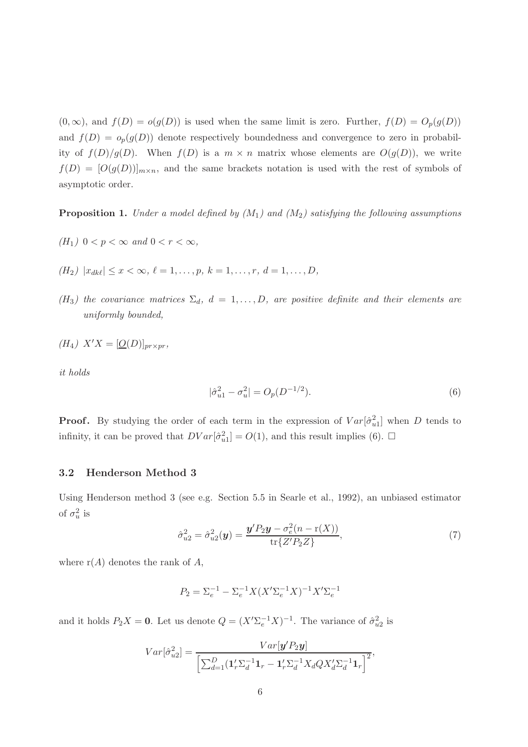$(0, \infty)$ , and  $f(D) = o(g(D))$  is used when the same limit is zero. Further,  $f(D) = O_p(g(D))$ and  $f(D) = o_p(g(D))$  denote respectively boundedness and convergence to zero in probability of  $f(D)/g(D)$ . When  $f(D)$  is a  $m \times n$  matrix whose elements are  $O(g(D))$ , we write  $f(D) = [O(g(D))]_{m \times n}$ , and the same brackets notation is used with the rest of symbols of asymptotic order.

**Proposition 1.** Under a model defined by  $(M_1)$  and  $(M_2)$  satisfying the following assumptions

- (H<sub>1</sub>)  $0 < p < \infty$  and  $0 < r < \infty$ ,
- $(H_2)$   $|x_{dk\ell}| \leq x < \infty$ ,  $\ell = 1, \ldots, p$ ,  $k = 1, \ldots, r$ ,  $d = 1, \ldots, D$ ,
- $(H_3)$  the covariance matrices  $\Sigma_d$ ,  $d = 1, \ldots, D$ , are positive definite and their elements are uniformly bounded,

$$
(H_4) X'X = [\underline{O}(D)]_{pr \times pr},
$$

it holds

$$
|\hat{\sigma}_{u1}^2 - \sigma_u^2| = O_p(D^{-1/2}).
$$
\n(6)

**Proof.** By studying the order of each term in the expression of  $Var[\hat{\sigma}_{u1}^2]$  when D tends to infinity, it can be proved that  $DVar[\hat{\sigma}_{u1}^2] = O(1)$ , and this result implies (6).  $\Box$ 

#### 3.2 Henderson Method 3

Using Henderson method 3 (see e.g. Section 5.5 in Searle et al., 1992), an unbiased estimator of  $\sigma_u^2$  is

$$
\hat{\sigma}_{u2}^2 = \hat{\sigma}_{u2}^2(\mathbf{y}) = \frac{\mathbf{y}' P_2 \mathbf{y} - \sigma_e^2 (n - r(X))}{\text{tr}\{Z' P_2 Z\}},\tag{7}
$$

where  $r(A)$  denotes the rank of A,

$$
P_2 = \Sigma_e^{-1} - \Sigma_e^{-1} X (X' \Sigma_e^{-1} X)^{-1} X' \Sigma_e^{-1}
$$

and it holds  $P_2X = 0$ . Let us denote  $Q = (X'\Sigma_e^{-1}X)^{-1}$ . The variance of  $\hat{\sigma}_{u2}^2$  is

$$
Var[\hat{\sigma}_{u2}^2] = \frac{Var[\mathbf{y}'P_2\mathbf{y}]}{\left[\sum_{d=1}^D (\mathbf{1}_r'\sum_d^{-1}\mathbf{1}_r - \mathbf{1}_r'\sum_d^{-1}X_dQX_d'\sum_d^{-1}\mathbf{1}_r\right]^2},
$$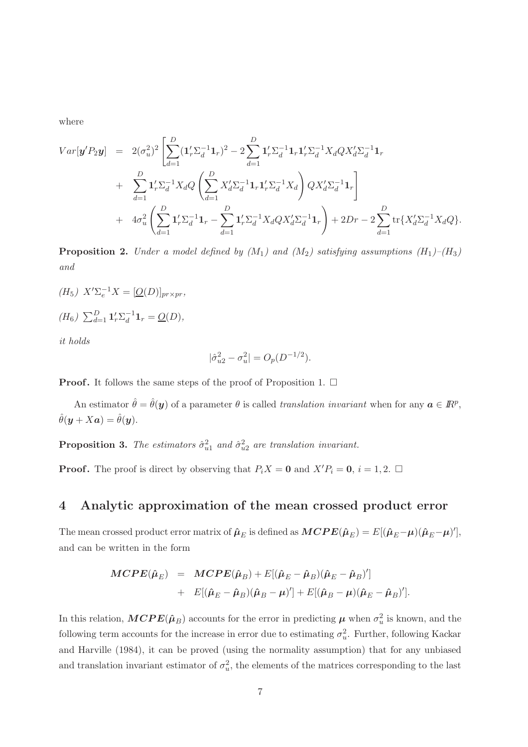where

$$
Var[\boldsymbol{y}'P_2\boldsymbol{y}] = 2(\sigma_u^2)^2 \left[ \sum_{d=1}^D (\boldsymbol{1}'_r \Sigma_d^{-1} \boldsymbol{1}_r)^2 - 2 \sum_{d=1}^D \boldsymbol{1}'_r \Sigma_d^{-1} \boldsymbol{1}_r \boldsymbol{1}'_r \Sigma_d^{-1} X_d Q X_d' \Sigma_d^{-1} \boldsymbol{1}_r \right] + \sum_{d=1}^D \boldsymbol{1}'_r \Sigma_d^{-1} X_d Q \left( \sum_{d=1}^D X_d' \Sigma_d^{-1} \boldsymbol{1}_r \boldsymbol{1}'_r \Sigma_d^{-1} X_d \right) Q X_d' \Sigma_d^{-1} \boldsymbol{1}_r \right] + 4\sigma_u^2 \left( \sum_{d=1}^D \boldsymbol{1}'_r \Sigma_d^{-1} \boldsymbol{1}_r - \sum_{d=1}^D \boldsymbol{1}'_r \Sigma_d^{-1} X_d Q X_d' \Sigma_d^{-1} \boldsymbol{1}_r \right) + 2Dr - 2 \sum_{d=1}^D \text{tr} \{ X_d' \Sigma_d^{-1} X_d Q \}.
$$

**Proposition 2.** Under a model defined by  $(M_1)$  and  $(M_2)$  satisfying assumptions  $(H_1)$ – $(H_3)$ and

(H<sub>5</sub>)  $X' \Sigma_e^{-1} X = [\underline{O}(D)]_{pr \times pr}$ ,  $(H_6)$   $\sum_{d=1}^{D} \mathbf{1}'_r \sum_{d}^{-1}$  $\bar{d}^{-1}1_r = \underline{O}(D),$ 

it holds

$$
|\hat{\sigma}_{u2}^2 - \sigma_u^2| = O_p(D^{-1/2}).
$$

**Proof.** It follows the same steps of the proof of Proposition 1.  $\Box$ 

An estimator  $\hat{\theta} = \hat{\theta}(y)$  of a parameter  $\theta$  is called *translation invariant* when for any  $a \in \mathbb{R}^p$ ,  $\hat{\theta}(\boldsymbol{y} + X\boldsymbol{a}) = \hat{\theta}(\boldsymbol{y}).$ 

**Proposition 3.** The estimators  $\hat{\sigma}_{u1}^2$  and  $\hat{\sigma}_{u2}^2$  are translation invariant.

**Proof.** The proof is direct by observing that  $P_iX = 0$  and  $X'P_i = 0$ ,  $i = 1, 2$ .  $\Box$ 

## 4 Analytic approximation of the mean crossed product error

The mean crossed product error matrix of  $\hat{\mu}_E$  is defined as  $\textbf{MCPE}(\hat{\mu}_E) = E[(\hat{\mu}_E - \mu)(\hat{\mu}_E - \mu)']$ , and can be written in the form

$$
\begin{array}{rcl}\n\boldsymbol{M} \boldsymbol{C} \boldsymbol{P} \boldsymbol{E}(\hat{\boldsymbol{\mu}}_E) &=& \boldsymbol{M} \boldsymbol{C} \boldsymbol{P} \boldsymbol{E}(\hat{\boldsymbol{\mu}}_B) + \boldsymbol{E}[(\hat{\boldsymbol{\mu}}_E - \hat{\boldsymbol{\mu}}_B)(\hat{\boldsymbol{\mu}}_E - \hat{\boldsymbol{\mu}}_B)'] \\
&+ & \boldsymbol{E}[(\hat{\boldsymbol{\mu}}_E - \hat{\boldsymbol{\mu}}_B)(\hat{\boldsymbol{\mu}}_B - \boldsymbol{\mu})'] + \boldsymbol{E}[(\hat{\boldsymbol{\mu}}_B - \boldsymbol{\mu})(\hat{\boldsymbol{\mu}}_E - \hat{\boldsymbol{\mu}}_B)'].\n\end{array}
$$

In this relation,  $MCPE(\hat{\mu}_B)$  accounts for the error in predicting  $\mu$  when  $\sigma_u^2$  is known, and the following term accounts for the increase in error due to estimating  $\sigma_u^2$ . Further, following Kackar and Harville (1984), it can be proved (using the normality assumption) that for any unbiased and translation invariant estimator of  $\sigma_u^2$ , the elements of the matrices corresponding to the last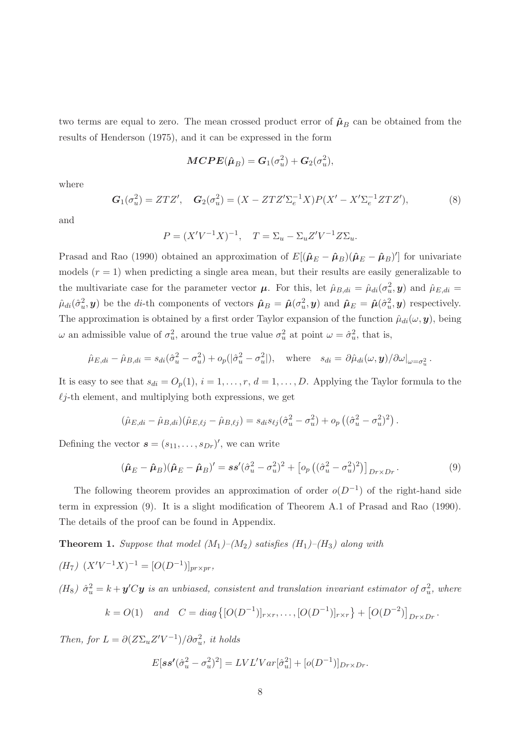two terms are equal to zero. The mean crossed product error of  $\hat{\mu}_{B}$  can be obtained from the results of Henderson (1975), and it can be expressed in the form

$$
\boldsymbol{MCPE}(\hat{\boldsymbol{\mu}}_B) = \boldsymbol{G}_1(\sigma_u^2) + \boldsymbol{G}_2(\sigma_u^2),
$$

where

$$
G_1(\sigma_u^2) = ZTZ', \quad G_2(\sigma_u^2) = (X - ZTZ'\Sigma_e^{-1}X)P(X' - X'\Sigma_e^{-1}ZTZ'), \tag{8}
$$

and

$$
P = (X'V^{-1}X)^{-1}, \quad T = \Sigma_u - \Sigma_u Z'V^{-1}Z\Sigma_u.
$$

Prasad and Rao (1990) obtained an approximation of  $E[(\hat{\mu}_E - \hat{\mu}_B)(\hat{\mu}_E - \hat{\mu}_B)']$  for univariate models  $(r = 1)$  when predicting a single area mean, but their results are easily generalizable to the multivariate case for the parameter vector  $\mu$ . For this, let  $\hat{\mu}_{B,di} = \hat{\mu}_{di}(\sigma_u^2, y)$  and  $\hat{\mu}_{E,di} =$  $\hat{\mu}_{di}(\hat{\sigma}_u^2, y)$  be the di-th components of vectors  $\hat{\mu}_B = \hat{\mu}(\sigma_u^2, y)$  and  $\hat{\mu}_E = \hat{\mu}(\hat{\sigma}_u^2, y)$  respectively. The approximation is obtained by a first order Taylor expansion of the function  $\hat{\mu}_{di}(\omega, \mathbf{y})$ , being  $\omega$  an admissible value of  $\sigma_u^2$ , around the true value  $\sigma_u^2$  at point  $\omega = \hat{\sigma}_u^2$ , that is,

$$
\hat{\mu}_{E,di} - \hat{\mu}_{B,di} = s_{di}(\hat{\sigma}_u^2 - \sigma_u^2) + o_p(|\hat{\sigma}_u^2 - \sigma_u^2|), \text{ where } s_{di} = \partial \hat{\mu}_{di}(\omega, \mathbf{y})/\partial \omega|_{\omega = \sigma_u^2}.
$$

It is easy to see that  $s_{di} = O_p(1)$ ,  $i = 1, \ldots, r$ ,  $d = 1, \ldots, D$ . Applying the Taylor formula to the  $\ell j$ -th element, and multiplying both expressions, we get

$$
(\hat{\mu}_{E,di} - \hat{\mu}_{B,di})(\hat{\mu}_{E,\ell j} - \hat{\mu}_{B,\ell j}) = s_{di}s_{\ell j}(\hat{\sigma}_u^2 - \sigma_u^2) + o_p((\hat{\sigma}_u^2 - \sigma_u^2)^2).
$$

Defining the vector  $\mathbf{s} = (s_{11}, \ldots, s_{Dr})'$ , we can write

$$
(\hat{\boldsymbol{\mu}}_E - \hat{\boldsymbol{\mu}}_B)(\hat{\boldsymbol{\mu}}_E - \hat{\boldsymbol{\mu}}_B)' = \boldsymbol{s}\boldsymbol{s}'(\hat{\sigma}_u^2 - \sigma_u^2)^2 + \left[o_p\left((\hat{\sigma}_u^2 - \sigma_u^2)^2\right)\right]_{Dr \times Dr}.\tag{9}
$$

The following theorem provides an approximation of order  $o(D^{-1})$  of the right-hand side term in expression (9). It is a slight modification of Theorem A.1 of Prasad and Rao (1990). The details of the proof can be found in Appendix.

**Theorem 1.** Suppose that model  $(M_1)$ – $(M_2)$  satisfies  $(H_1)$ – $(H_3)$  along with

$$
(H7) (X'V-1X)-1 = [O(D-1)]pr\times pr,
$$

(H<sub>8</sub>)  $\hat{\sigma}_u^2 = k + y'Cy$  is an unbiased, consistent and translation invariant estimator of  $\sigma_u^2$ , where

$$
k = O(1)
$$
 and  $C = diag\{[O(D^{-1})]_{r \times r}, \dots, [O(D^{-1})]_{r \times r}\} + [O(D^{-2})]_{Dr \times Dr}.$ 

Then, for  $L = \partial (Z\Sigma_u Z'V^{-1})/\partial \sigma_u^2$ , it holds

$$
E[\boldsymbol{s}\boldsymbol{s'}(\hat{\sigma}_u^2-\sigma_u^2)^2] = LVL'Var[\hat{\sigma}_u^2] + [o(D^{-1})]_{Dr \times Dr}.
$$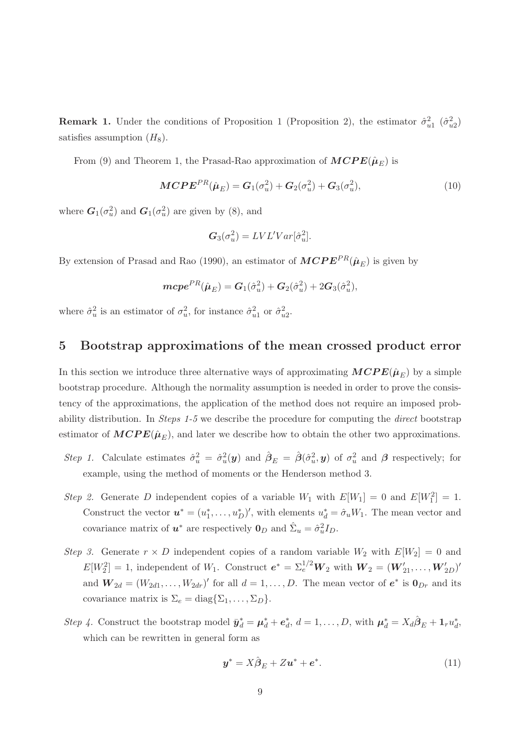**Remark 1.** Under the conditions of Proposition 1 (Proposition 2), the estimator  $\hat{\sigma}_{u1}^2$   $(\hat{\sigma}_{u2}^2)$ satisfies assumption  $(H_8)$ .

From (9) and Theorem 1, the Prasad-Rao approximation of  $\text{MCPE}(\hat{\mu}_E)$  is

$$
MCPEPR(\hat{\boldsymbol{\mu}}_E) = \boldsymbol{G}_1(\sigma_u^2) + \boldsymbol{G}_2(\sigma_u^2) + \boldsymbol{G}_3(\sigma_u^2),
$$
\n(10)

where  $G_1(\sigma_u^2)$  and  $G_1(\sigma_u^2)$  are given by (8), and

$$
G_3(\sigma_u^2) = LVL'Var[\hat{\sigma}_u^2].
$$

By extension of Prasad and Rao (1990), an estimator of  $\textbf{MCPE}^{PR}(\hat{\mu}_E)$  is given by

$$
m\mathbf{c}\mathbf{p}\mathbf{e}^{PR}(\hat{\boldsymbol{\mu}}_E) = \mathbf{G}_1(\hat{\sigma}_u^2) + \mathbf{G}_2(\hat{\sigma}_u^2) + 2\mathbf{G}_3(\hat{\sigma}_u^2),
$$

where  $\hat{\sigma}_u^2$  is an estimator of  $\sigma_u^2$ , for instance  $\hat{\sigma}_{u1}^2$  or  $\hat{\sigma}_{u2}^2$ .

## 5 Bootstrap approximations of the mean crossed product error

In this section we introduce three alternative ways of approximating  $\text{MCPE}(\hat{\mu}_E)$  by a simple bootstrap procedure. Although the normality assumption is needed in order to prove the consistency of the approximations, the application of the method does not require an imposed probability distribution. In Steps 1-5 we describe the procedure for computing the direct bootstrap estimator of  $M CPE(\hat{\mu}_E)$ , and later we describe how to obtain the other two approximations.

- Step 1. Calculate estimates  $\hat{\sigma}_u^2 = \hat{\sigma}_u^2(y)$  and  $\hat{\beta}_E = \hat{\beta}(\hat{\sigma}_u^2, y)$  of  $\sigma_u^2$  and  $\beta$  respectively; for example, using the method of moments or the Henderson method 3.
- Step 2. Generate D independent copies of a variable  $W_1$  with  $E[W_1] = 0$  and  $E[W_1^2] = 1$ . Construct the vector  $\mathbf{u}^* = (u_1^*)$  $(1, \ldots, u_D^*)'$ , with elements  $u_d^* = \hat{\sigma}_u W_1$ . The mean vector and covariance matrix of  $u^*$  are respectively  $\mathbf{0}_D$  and  $\hat{\Sigma}_u = \hat{\sigma}_u^2 I_D$ .
- Step 3. Generate  $r \times D$  independent copies of a random variable  $W_2$  with  $E[W_2] = 0$  and  $E[W_2^2] = 1$ , independent of  $W_1$ . Construct  $e^* = \sum_{i=1}^{1/2} W_2$  with  $W_2 = (W'_{21}, \ldots, W'_{2D})'$ and  $W_{2d} = (W_{2d1}, \ldots, W_{2dr})'$  for all  $d = 1, \ldots, D$ . The mean vector of  $e^*$  is  $\mathbf{0}_{Dr}$  and its covariance matrix is  $\Sigma_e = \text{diag}\{\Sigma_1, \ldots, \Sigma_D\}.$
- Step 4. Construct the bootstrap model  $\bar{\mathbf{y}}_d^* = \boldsymbol{\mu}_d^* + \boldsymbol{e}_d^*$  $d_{d}^{*}$ ,  $d = 1, ..., D$ , with  $\boldsymbol{\mu}_{d}^{*} = X_{d} \hat{\boldsymbol{\beta}}_{E} + \mathbf{1}_{r} u_{d}^{*}$  $_d^*$ which can be rewritten in general form as

$$
\mathbf{y}^* = X\hat{\boldsymbol{\beta}}_E + Z\mathbf{u}^* + \mathbf{e}^*.
$$
 (11)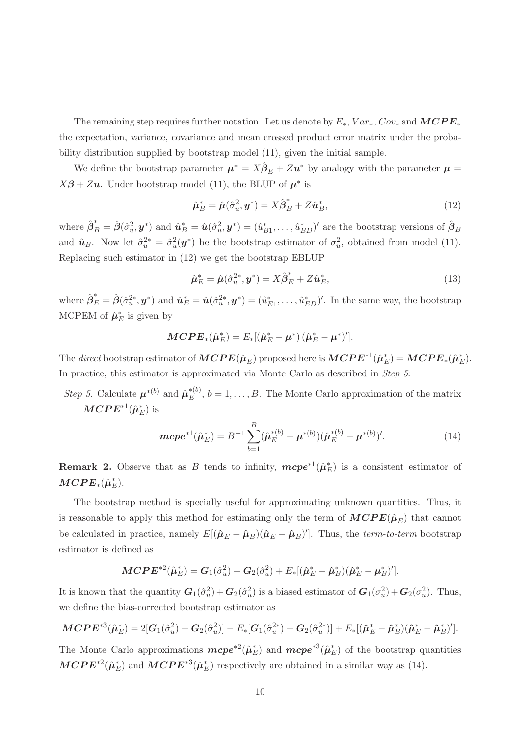The remaining step requires further notation. Let us denote by  $E_*$ ,  $Var_*$ ,  $Cov_*$  and  $MCPE_*$ the expectation, variance, covariance and mean crossed product error matrix under the probability distribution supplied by bootstrap model (11), given the initial sample.

We define the bootstrap parameter  $\mu^* = X\hat{\beta}_E + Zu^*$  by analogy with the parameter  $\mu =$  $X\beta + Z\mathbf{u}$ . Under bootstrap model (11), the BLUP of  $\mu^*$  is

$$
\hat{\boldsymbol{\mu}}_B^* = \hat{\boldsymbol{\mu}}(\hat{\sigma}_u^2, \boldsymbol{y}^*) = X\hat{\boldsymbol{\beta}}_B^* + Z\hat{\boldsymbol{u}}_B^*,\tag{12}
$$

where  $\hat{\boldsymbol{\beta}}_B^* = \hat{\boldsymbol{\beta}}(\hat{\sigma}_u^2, \mathbf{y}^*)$  and  $\hat{\boldsymbol{u}}_B^* = \hat{\boldsymbol{u}}(\hat{\sigma}_u^2, \mathbf{y}^*) = (\hat{u}_B^*)$  $\hat{B}_{B1}, \ldots, \hat{u}_{BD}^*$ <sup>t</sup> are the bootstrap versions of  $\hat{\beta}_B$ and  $\hat{u}_B$ . Now let  $\hat{\sigma}_u^{2*} = \hat{\sigma}_u^2(\mathbf{y}^*)$  be the bootstrap estimator of  $\sigma_u^2$ , obtained from model (11). Replacing such estimator in (12) we get the bootstrap EBLUP

$$
\hat{\mu}_E^* = \hat{\mu}(\hat{\sigma}_u^{2*}, \mathbf{y}^*) = X\hat{\beta}_E^* + Z\hat{\mathbf{u}}_E^*,
$$
\n(13)

where  $\hat{\beta}_E^* = \hat{\beta}(\hat{\sigma}_u^{2*}, y^*)$  and  $\hat{\mathbf{u}}_E^* = \hat{\mathbf{u}}(\hat{\sigma}_u^{2*}, y^*) = (\hat{u}_E^*)$  $(E_1, \ldots, \hat{u}_{ED}^*)'$ . In the same way, the bootstrap MCPEM of  $\hat{\mu}_E^*$  is given by

$$
MCPE_*(\hat{\mu}_E^*) = E_*[(\hat{\mu}_E^* - \mu^*) (\hat{\mu}_E^* - \mu^*)'].
$$

The direct bootstrap estimator of  $\textbf{MCPE}(\hat{\mu}_E)$  proposed here is  $\textbf{MCPE}^{*1}(\hat{\mu}_E^*) = \textbf{MCPE}_*(\hat{\mu}_E^*)$ . In practice, this estimator is approximated via Monte Carlo as described in *Step 5*:

*Step 5.* Calculate  $\boldsymbol{\mu}^{*(b)}$  and  $\hat{\boldsymbol{\mu}}_E^{*(b)}$  $E^{(0)}$ ,  $b = 1, \ldots, B$ . The Monte Carlo approximation of the matrix  $\bm{M} \bm{C} \bm{P} \bm{E}^{*1}(\hat{\bm{\mu}}^{\ast}_{E})$  is

$$
m\mathbf{c}pe^{*1}(\hat{\boldsymbol{\mu}}_{E}^{*}) = B^{-1}\sum_{b=1}^{B} (\hat{\boldsymbol{\mu}}_{E}^{*(b)} - \boldsymbol{\mu}^{*(b)})(\hat{\boldsymbol{\mu}}_{E}^{*(b)} - \boldsymbol{\mu}^{*(b)})'. \tag{14}
$$

**Remark 2.** Observe that as B tends to infinity,  $m\epsilon p e^{*1}(\hat{\mu}_E^*)$  is a consistent estimator of  $\bm{MCPE}_*(\hat{\bm{\mu}}_E^*).$ 

The bootstrap method is specially useful for approximating unknown quantities. Thus, it is reasonable to apply this method for estimating only the term of  $\text{MCPE}(\hat{\mu}_E)$  that cannot be calculated in practice, namely  $E[(\hat{\mu}_E - \hat{\mu}_B)(\hat{\mu}_E - \hat{\mu}_B)']$ . Thus, the *term-to-term* bootstrap estimator is defined as

$$
\mathbf{MCPE^{*2}}(\hat{\boldsymbol{\mu}}_{E}^{*}) = \bm{G}_{1}(\hat{\sigma}_{u}^{2}) + \bm{G}_{2}(\hat{\sigma}_{u}^{2}) + E_{*}[(\hat{\boldsymbol{\mu}}_{E}^{*} - \hat{\boldsymbol{\mu}}_{B}^{*})(\hat{\boldsymbol{\mu}}_{E}^{*} - \bm{\mu}_{B}^{*})'].
$$

It is known that the quantity  $G_1(\hat{\sigma}_u^2) + G_2(\hat{\sigma}_u^2)$  is a biased estimator of  $G_1(\sigma_u^2) + G_2(\sigma_u^2)$ . Thus, we define the bias-corrected bootstrap estimator as

$$
MCPE^{*3}(\hat{\mu}_E^*) = 2[G_1(\hat{\sigma}_u^2) + G_2(\hat{\sigma}_u^2)] - E_*[G_1(\hat{\sigma}_u^{2*}) + G_2(\hat{\sigma}_u^{2*})] + E_*[(\hat{\mu}_E^* - \hat{\mu}_B^*)(\hat{\mu}_E^* - \hat{\mu}_B^*)'].
$$

The Monte Carlo approximations  $m\epsilon p e^{*2}(\hat{\mu}_E^*)$  and  $m\epsilon p e^{*3}(\hat{\mu}_E^*)$  of the bootstrap quantities  $\textbf{MCPE}^{*2}(\hat{\mu}_E^*)$  and  $\textbf{MCPE}^{*3}(\hat{\mu}_E^*)$  respectively are obtained in a similar way as (14).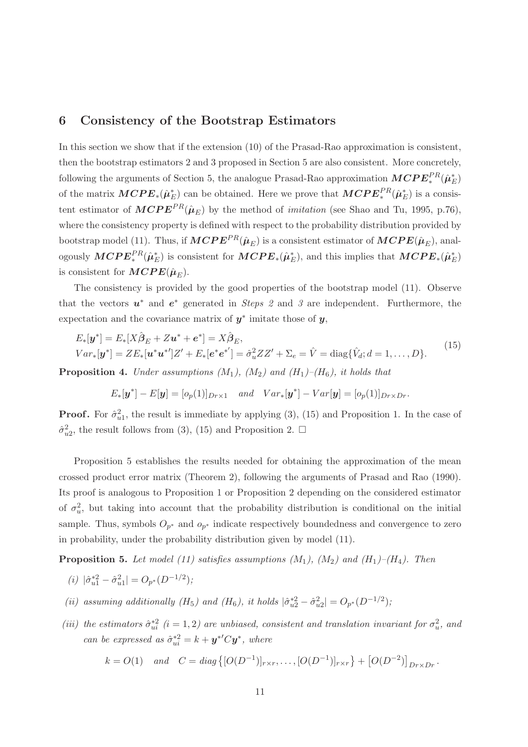## 6 Consistency of the Bootstrap Estimators

In this section we show that if the extension (10) of the Prasad-Rao approximation is consistent, then the bootstrap estimators 2 and 3 proposed in Section 5 are also consistent. More concretely, following the arguments of Section 5, the analogue Prasad-Rao approximation  $\text{MCPE}^{PR}_*(\hat{\mu}^*_{E})$ of the matrix  $\textbf{MCPE}_*(\hat{\mu}_E^*)$  can be obtained. Here we prove that  $\textbf{MCPE}_*^{PR}(\hat{\mu}_E^*)$  is a consistent estimator of  $\text{MCPE}^{PR}(\hat{\mu}_E)$  by the method of *imitation* (see Shao and Tu, 1995, p.76), where the consistency property is defined with respect to the probability distribution provided by bootstrap model (11). Thus, if  $\textbf{M} \textbf{C} \textbf{P} \textbf{E}^{PR}(\hat{\boldsymbol{\mu}}_E)$  is a consistent estimator of  $\textbf{M} \textbf{C} \textbf{P} \textbf{E}(\hat{\boldsymbol{\mu}}_E)$ , analogously  $\text{MCPE}^{PR}_*(\hat{\mu}^*_{E})$  is consistent for  $\text{MCPE}_*(\hat{\mu}^*_{E})$ , and this implies that  $\text{MCPE}_*(\hat{\mu}^*_{E})$ is consistent for  $\textbf{MCPE}(\hat{\boldsymbol{\mu}}_E)$ .

The consistency is provided by the good properties of the bootstrap model (11). Observe that the vectors  $u^*$  and  $e^*$  generated in *Steps 2* and 3 are independent. Furthermore, the expectation and the covariance matrix of  $y^*$  imitate those of  $y$ ,

$$
E_*[\mathbf{y}^*] = E_*[X\hat{\boldsymbol{\beta}}_E + Z\mathbf{u}^* + \mathbf{e}^*] = X\hat{\boldsymbol{\beta}}_E,
$$
  
\n
$$
Var_*[\mathbf{y}^*] = ZE_*[\mathbf{u}^*\mathbf{u}^*']Z' + E_*[\mathbf{e}^*\mathbf{e}^*'] = \hat{\sigma}_u^2 ZZ' + \Sigma_e = \hat{V} = \text{diag}\{\hat{V}_d; d = 1, ..., D\}.
$$
\n(15)

**Proposition 4.** Under assumptions  $(M_1)$ ,  $(M_2)$  and  $(H_1)$ – $(H_6)$ , it holds that

$$
E_*[\boldsymbol{y}^*] - E[\boldsymbol{y}] = [o_p(1)]_{Dr \times 1} \quad and \quad Var_*[\boldsymbol{y}^*] - Var[\boldsymbol{y}] = [o_p(1)]_{Dr \times Dr}.
$$

**Proof.** For  $\hat{\sigma}_{u1}^2$ , the result is immediate by applying (3), (15) and Proposition 1. In the case of  $\hat{\sigma}_{u2}^2$ , the result follows from (3), (15) and Proposition 2.  $\Box$ 

Proposition 5 establishes the results needed for obtaining the approximation of the mean crossed product error matrix (Theorem 2), following the arguments of Prasad and Rao (1990). Its proof is analogous to Proposition 1 or Proposition 2 depending on the considered estimator of  $\sigma_u^2$ , but taking into account that the probability distribution is conditional on the initial sample. Thus, symbols  $O_{p^*}$  and  $o_{p^*}$  indicate respectively boundedness and convergence to zero in probability, under the probability distribution given by model (11).

**Proposition 5.** Let model (11) satisfies assumptions  $(M_1)$ ,  $(M_2)$  and  $(H_1)$ – $(H_4)$ . Then

- (i)  $|\hat{\sigma}_{u1}^{*2} \hat{\sigma}_{u1}^{2}| = O_{p^{*}}(D^{-1/2});$
- (ii) assuming additionally (H<sub>5</sub>) and (H<sub>6</sub>), it holds  $|\hat{\sigma}_{u2}^{*2} \hat{\sigma}_{u2}^{2}| = O_{p^{*}}(D^{-1/2});$
- (iii) the estimators  $\hat{\sigma}_{ui}^{*2}$  (i = 1, 2) are unbiased, consistent and translation invariant for  $\sigma_u^2$ , and can be expressed as  $\hat{\sigma}_{ui}^{*2} = k + \mathbf{y}^{*'} C \mathbf{y}^*$ , where

$$
k = O(1)
$$
 and  $C = diag\{[O(D^{-1})]_{r \times r}, \dots, [O(D^{-1})]_{r \times r}\} + [O(D^{-2})]_{Dr \times Dr}.$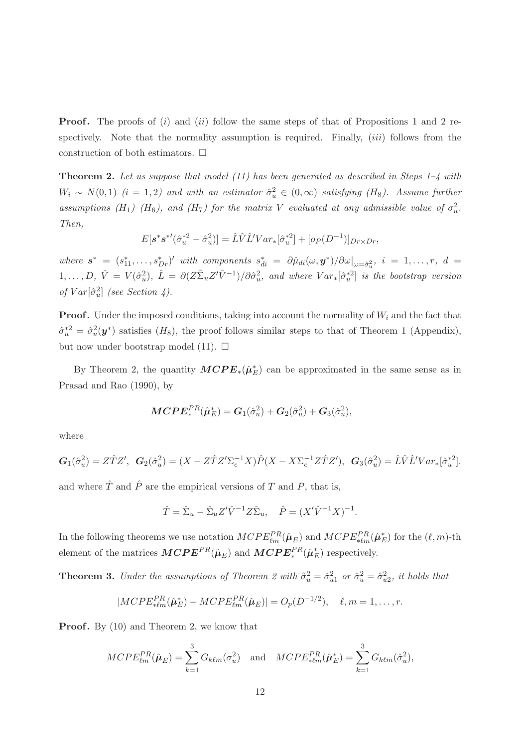**Proof.** The proofs of (i) and (ii) follow the same steps of that of Propositions 1 and 2 respectively. Note that the normality assumption is required. Finally,  $(iii)$  follows from the construction of both estimators.  $\Box$ 

**Theorem 2.** Let us suppose that model (11) has been generated as described in Steps  $1-4$  with  $W_i \sim N(0,1)$  (i = 1,2) and with an estimator  $\hat{\sigma}_u^2 \in (0,\infty)$  satisfying (H<sub>8</sub>). Assume further assumptions  $(H_1)$ – $(H_6)$ , and  $(H_7)$  for the matrix V evaluated at any admissible value of  $\sigma_u^2$ . Then,

$$
E[\mathbf{s}^* \mathbf{s}^{*'} (\hat{\sigma}_u^{*2} - \hat{\sigma}_u^2)] = \hat{L}\hat{V}\hat{L}' Var_*[\hat{\sigma}_u^{*2}] + [o_P(D^{-1})]_{Dr \times Dr},
$$

where  $s^* = (s_{11}^*, \ldots, s_{Dr}^*)'$  with components  $s_{di}^* = \partial \hat{\mu}_{di}(\omega, \mathbf{y}^*)/\partial \omega|_{\omega = \hat{\sigma}_u^2}$ ,  $i = 1, \ldots, r$ ,  $d =$  $1,\ldots,D, \hat{V} = V(\hat{\sigma}_u^2), \hat{L} = \partial(Z\hat{\Sigma}_u Z'\hat{V}^{-1})/\partial \hat{\sigma}_u^2$ , and where  $Var_*[\hat{\sigma}_u^{*2}]$  is the bootstrap version of  $Var[\hat{\sigma}_u^2]$  (see Section 4).

**Proof.** Under the imposed conditions, taking into account the normality of  $W_i$  and the fact that  $\hat{\sigma}_u^{*2} = \hat{\sigma}_u^2(\mathbf{y}^*)$  satisfies  $(H_8)$ , the proof follows similar steps to that of Theorem 1 (Appendix), but now under bootstrap model (11).  $\Box$ 

By Theorem 2, the quantity  $\text{MCPE}_*(\hat{\mu}_E^*)$  can be approximated in the same sense as in Prasad and Rao (1990), by

$$
\textit{MCPE}^{PR}_*(\hat{\boldsymbol{\mu}}^*_E) = \boldsymbol{G}_1(\hat{\sigma}_u^2) + \boldsymbol{G}_2(\hat{\sigma}_u^2) + \boldsymbol{G}_3(\hat{\sigma}_u^2),
$$

where

$$
G_1(\hat{\sigma}_u^2) = Z\hat{T}Z', \quad G_2(\hat{\sigma}_u^2) = (X - Z\hat{T}Z'\Sigma_e^{-1}X)\hat{P}(X - X\Sigma_e^{-1}Z\hat{T}Z'), \quad G_3(\hat{\sigma}_u^2) = \hat{L}\hat{V}\hat{L}'Var_*[\hat{\sigma}_u^*].
$$

and where  $\hat{T}$  and  $\hat{P}$  are the empirical versions of T and P, that is,

$$
\hat{T} = \hat{\Sigma}_u - \hat{\Sigma}_u Z' \hat{V}^{-1} Z \hat{\Sigma}_u, \quad \hat{P} = (X' \hat{V}^{-1} X)^{-1}.
$$

In the following theorems we use notation  $MCPE_{\ell m}^{PR}(\hat{\mu}_E)$  and  $MCPE_{\ast \ell m}^{PR}(\hat{\mu}_E^*)$  for the  $(\ell, m)$ -th element of the matrices  $\textit{MCEP}^{PR}(\hat{\mu}_E)$  and  $\textit{MCEF}^{PR}_*(\hat{\mu}_E^*)$  respectively.

**Theorem 3.** Under the assumptions of Theorem 2 with  $\hat{\sigma}_u^2 = \hat{\sigma}_{u1}^2$  or  $\hat{\sigma}_u^2 = \hat{\sigma}_{u2}^2$ , it holds that

$$
|MCPE_{* \ell m}^{PR}(\hat{\mu}_E^*) - MCPE_{\ell m}^{PR}(\hat{\mu}_E)| = O_p(D^{-1/2}), \quad \ell, m = 1, ..., r.
$$

**Proof.** By (10) and Theorem 2, we know that

$$
MCPE_{\ell m}^{PR}(\hat{\boldsymbol{\mu}}_E) = \sum_{k=1}^{3} G_{k\ell m}(\sigma_u^2) \quad \text{and} \quad MCPE_{*\ell m}^{PR}(\hat{\boldsymbol{\mu}}_E^*) = \sum_{k=1}^{3} G_{k\ell m}(\hat{\sigma}_u^2),
$$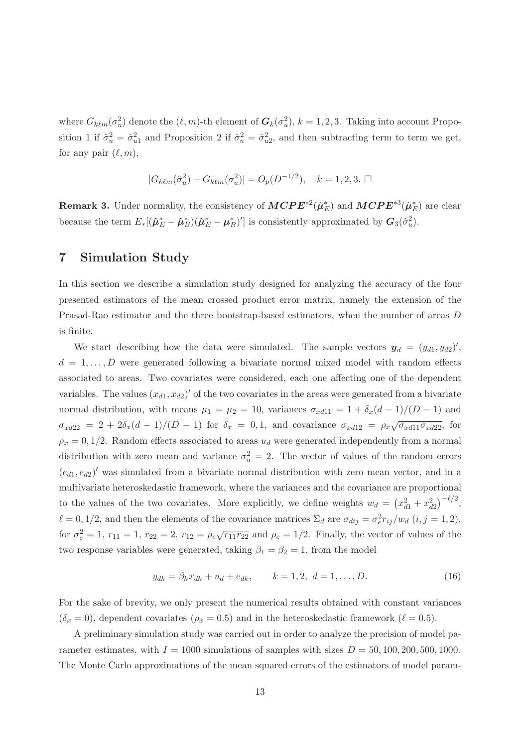where  $G_{k\ell m}(\sigma_u^2)$  denote the  $(\ell, m)$ -th element of  $G_k(\sigma_u^2)$ ,  $k = 1, 2, 3$ . Taking into account Proposition 1 if  $\hat{\sigma}_u^2 = \hat{\sigma}_{u1}^2$  and Proposition 2 if  $\hat{\sigma}_u^2 = \hat{\sigma}_{u2}^2$ , and then subtracting term to term we get, for any pair  $(\ell, m)$ ,

$$
|G_{k\ell m}(\hat{\sigma}_u^2) - G_{k\ell m}(\sigma_u^2)| = O_p(D^{-1/2}), \quad k = 1, 2, 3. \; \square
$$

**Remark 3.** Under normality, the consistency of  $\bm{MCPE^*}^2(\hat{\mu}_E^*)$  and  $\bm{MCPE^*}^3(\hat{\mu}_E^*)$  are clear because the term  $E_*[(\hat{\boldsymbol{\mu}}_E^* - \hat{\boldsymbol{\mu}}_B^*)(\hat{\boldsymbol{\mu}}_E^* - {\boldsymbol{\mu}}_E^*$  $E_B^*$ )'] is consistently approximated by  $G_3(\hat{\sigma}_u^2)$ .

## 7 Simulation Study

In this section we describe a simulation study designed for analyzing the accuracy of the four presented estimators of the mean crossed product error matrix, namely the extension of the Prasad-Rao estimator and the three bootstrap-based estimators, when the number of areas D is finite.

We start describing how the data were simulated. The sample vectors  $y_d = (y_{d1}, y_{d2})'$ ,  $d = 1, \ldots, D$  were generated following a bivariate normal mixed model with random effects associated to areas. Two covariates were considered, each one affecting one of the dependent variables. The values  $(x_{d1}, x_{d2})'$  of the two covariates in the areas were generated from a bivariate normal distribution, with means  $\mu_1 = \mu_2 = 10$ , variances  $\sigma_{xd11} = 1 + \delta_x (d-1)/(D-1)$  and  $\sigma_{xd22} = 2 + 2\delta_x(d-1)/(D-1)$  for  $\delta_x = 0, 1$ , and covariance  $\sigma_{xd12} = \rho_x \sqrt{\sigma_x d_{11} \sigma_x d_{22}}$ , for  $\rho_x = 0, 1/2$ . Random effects associated to areas  $u_d$  were generated independently from a normal distribution with zero mean and variance  $\sigma_u^2 = 2$ . The vector of values of the random errors  $(e_{d1}, e_{d2})'$  was simulated from a bivariate normal distribution with zero mean vector, and in a multivariate heteroskedastic framework, where the variances and the covariance are proportional to the values of the two covariates. More explicitly, we define weights  $w_d = (x_{d1}^2 + x_{d2}^2)^{-\ell/2}$ ,  $\ell = 0, 1/2$ , and then the elements of the covariance matrices  $\Sigma_d$  are  $\sigma_{dij} = \sigma_e^2 r_{ij}/w_d$   $(i, j = 1, 2)$ , for  $\sigma_e^2 = 1$ ,  $r_{11} = 1$ ,  $r_{22} = 2$ ,  $r_{12} = \rho_e \sqrt{r_{11} r_{22}}$  and  $\rho_e = 1/2$ . Finally, the vector of values of the two response variables were generated, taking  $\beta_1 = \beta_2 = 1$ , from the model

$$
y_{dk} = \beta_k x_{dk} + u_d + e_{dk}, \qquad k = 1, 2, d = 1, ..., D.
$$
 (16)

For the sake of brevity, we only present the numerical results obtained with constant variances  $(\delta_x = 0)$ , dependent covariates  $(\rho_x = 0.5)$  and in the heteroskedastic framework  $(\ell = 0.5)$ .

A preliminary simulation study was carried out in order to analyze the precision of model parameter estimates, with  $I = 1000$  simulations of samples with sizes  $D = 50, 100, 200, 500, 1000$ . The Monte Carlo approximations of the mean squared errors of the estimators of model param-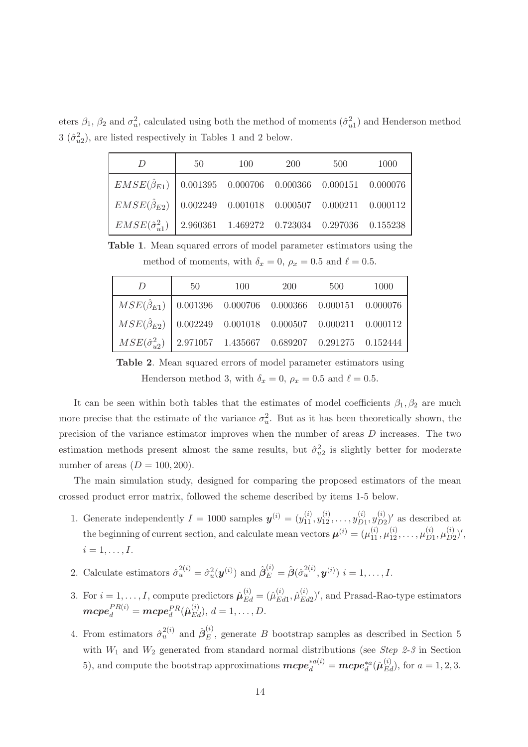eters  $\beta_1$ ,  $\beta_2$  and  $\sigma_u^2$ , calculated using both the method of moments  $(\hat{\sigma}_{u1}^2)$  and Henderson method  $3\ (\hat{\sigma}_{u2}^2)$ , are listed respectively in Tables 1 and 2 below.

| $\overline{D}$                                                           | 50 | 100 | 200 | 500 | 1000 |  |
|--------------------------------------------------------------------------|----|-----|-----|-----|------|--|
| $EMSE(\hat{\beta}_{E1})$ 0.001395 0.000706 0.000366 0.000151 0.000076    |    |     |     |     |      |  |
| $EMSE(\hat{\beta}_{E2})$ 0.002249 0.001018 0.000507 0.000211 0.000112    |    |     |     |     |      |  |
| $EMSE(\hat{\sigma}_{n1}^2)$ 2.960361 1.469272 0.723034 0.297036 0.155238 |    |     |     |     |      |  |

Table 1. Mean squared errors of model parameter estimators using the method of moments, with  $\delta_x = 0$ ,  $\rho_x = 0.5$  and  $\ell = 0.5$ .

| $\overline{D}$                                                                           | 50 | 100 | 200 | 500 | 1000 |
|------------------------------------------------------------------------------------------|----|-----|-----|-----|------|
| $\left[ MSE(\hat{\beta}_{E1}) \right]$ 0.001396 0.000706 0.000366 0.000151 0.000076      |    |     |     |     |      |
| $\left[ MSE(\hat{\beta}_{E2}) \right]$ 0.002249 0.001018 0.000507 0.000211 0.000112      |    |     |     |     |      |
| $\left[ MSE(\hat{\sigma}_{n2}^{2}) \right]$ 2.971057 1.435667 0.689207 0.291275 0.152444 |    |     |     |     |      |

Table 2. Mean squared errors of model parameter estimators using Henderson method 3, with  $\delta_x = 0$ ,  $\rho_x = 0.5$  and  $\ell = 0.5$ .

It can be seen within both tables that the estimates of model coefficients  $\beta_1, \beta_2$  are much more precise that the estimate of the variance  $\sigma_u^2$ . But as it has been theoretically shown, the precision of the variance estimator improves when the number of areas D increases. The two estimation methods present almost the same results, but  $\hat{\sigma}_{u2}^2$  is slightly better for moderate number of areas  $(D = 100, 200)$ .

The main simulation study, designed for comparing the proposed estimators of the mean crossed product error matrix, followed the scheme described by items 1-5 below.

- 1. Generate independently  $I = 1000$  samples  $y^{(i)} = (y_{11}^{(i)}, y_{12}^{(i)}, \dots, y_{D1}^{(i)})$  $\overset{(i)}{D1}, \overset{(i)}{y} \overset{(i)}{D2}$  $_{D2}^{(i)}$  of as described at the beginning of current section, and calculate mean vectors  $\boldsymbol{\mu}^{(i)} = (\mu_{11}^{(i)}, \mu_{12}^{(i)}, \dots, \mu_{D1}^{(i)})$  $_{D1}^{(i)},\mu_{D2}^{(i)}$  $_{D2}^{(i)})',$  $i=1,\ldots,I$ .
- 2. Calculate estimators  $\hat{\sigma}_u^{2(i)} = \hat{\sigma}_u^2(\boldsymbol{y}^{(i)})$  and  $\hat{\boldsymbol{\beta}}_E^{(i)} = \hat{\boldsymbol{\beta}}(\hat{\sigma}_u^{2(i)}, \boldsymbol{y}^{(i)})$   $i = 1, \ldots, I$ .
- 3. For  $i = 1, ..., I$ , compute predictors  $\hat{\mu}_{Ed}^{(i)} = (\hat{\mu}_{Ec}^{(i)}$  $^{(i)}_{Ed1}, \hat{\mu}^{(i)}_{Ec}$  $^{(i)}_{Ed2}$ ', and Prasad-Rao-type estimators  $\boldsymbol{m}\boldsymbol{c}\boldsymbol{p} \boldsymbol{e}_d^{PR(i)} = \boldsymbol{m}\boldsymbol{c}\boldsymbol{p}\boldsymbol{e}_d^{PR}(\hat{\boldsymbol{\mu}}_{Ed}^{(i)}),\: d=1,\dots,D.$
- 4. From estimators  $\hat{\sigma}_u^{2(i)}$  and  $\hat{\beta}_E^{(i)}$ , generate B bootstrap samples as described in Section 5 with  $W_1$  and  $W_2$  generated from standard normal distributions (see Step 2-3 in Section 5), and compute the bootstrap approximations  $\boldsymbol{m}\boldsymbol{c}\boldsymbol{p}\boldsymbol{e}_d^{*a(i)} = \boldsymbol{m}\boldsymbol{c}\boldsymbol{p}\boldsymbol{e}_d^{*a}(\hat{\boldsymbol{\mu}}_{Ed}^{(i)})$ , for  $a = 1, 2, 3$ .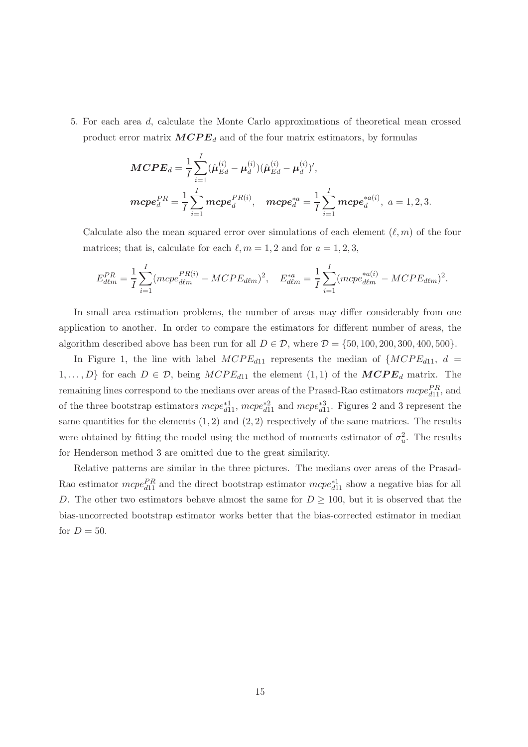5. For each area d, calculate the Monte Carlo approximations of theoretical mean crossed product error matrix  $MCPE_d$  and of the four matrix estimators, by formulas

$$
MCPE_d = \frac{1}{I} \sum_{i=1}^{I} (\hat{\mu}_{Ed}^{(i)} - \mu_d^{(i)}) (\hat{\mu}_{Ed}^{(i)} - \mu_d^{(i)})',
$$
  

$$
mcpe_d^{PR} = \frac{1}{I} \sum_{i=1}^{I} mcpe_d^{PR(i)}, \quad mcpe_d^{*a} = \frac{1}{I} \sum_{i=1}^{I} mcpe_d^{*a(i)}, \quad a = 1, 2, 3.
$$

Calculate also the mean squared error over simulations of each element  $(\ell, m)$  of the four matrices; that is, calculate for each  $\ell, m = 1, 2$  and for  $a = 1, 2, 3$ ,

$$
E_{d\ell m}^{PR} = \frac{1}{I} \sum_{i=1}^{I} (m c p e_{d\ell m}^{PR(i)} - M C P E_{d\ell m})^2, \quad E_{d\ell m}^{*a} = \frac{1}{I} \sum_{i=1}^{I} (m c p e_{d\ell m}^{*a(i)} - M C P E_{d\ell m})^2.
$$

In small area estimation problems, the number of areas may differ considerably from one application to another. In order to compare the estimators for different number of areas, the algorithm described above has been run for all  $D \in \mathcal{D}$ , where  $\mathcal{D} = \{50, 100, 200, 300, 400, 500\}.$ 

In Figure 1, the line with label  $MCPE_{d11}$  represents the median of  $\{MCPE_{d11}, d =$  $1, \ldots, D$  for each  $D \in \mathcal{D}$ , being  $MCPE_{d11}$  the element  $(1, 1)$  of the  $MCPE_d$  matrix. The remaining lines correspond to the medians over areas of the Prasad-Rao estimators  $mcpe_{d11}^{PR}$ , and of the three bootstrap estimators  $mcpe_{d11}^{*2}$ ,  $mcpe_{d11}^{*2}$  and  $mcpe_{d11}^{*3}$ . Figures 2 and 3 represent the same quantities for the elements  $(1, 2)$  and  $(2, 2)$  respectively of the same matrices. The results were obtained by fitting the model using the method of moments estimator of  $\sigma_u^2$ . The results for Henderson method 3 are omitted due to the great similarity.

Relative patterns are similar in the three pictures. The medians over areas of the Prasad-Rao estimator  $mcpe_{d11}^{PR}$  and the direct bootstrap estimator  $mcpe_{d11}^{*1}$  show a negative bias for all D. The other two estimators behave almost the same for  $D \ge 100$ , but it is observed that the bias-uncorrected bootstrap estimator works better that the bias-corrected estimator in median for  $D = 50$ .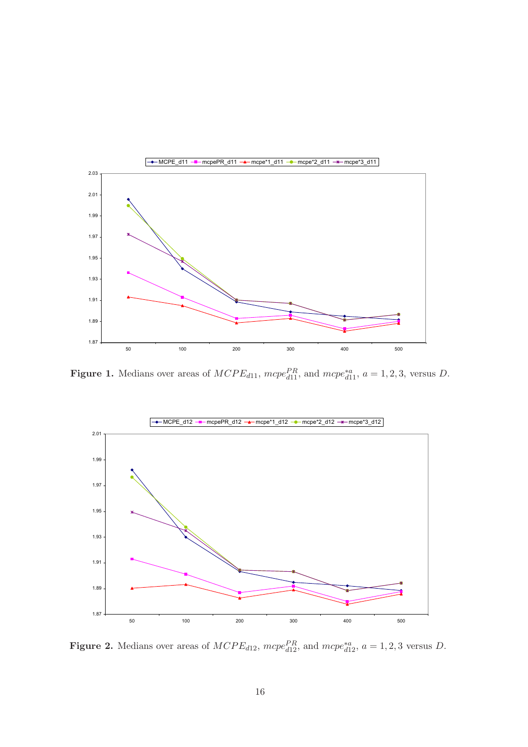

Figure 1. Medians over areas of  $MCPE_{d11}$ ,  $mcpe_{d11}^{PR}$ , and  $mcpe_{d11}^{*a}$ ,  $a = 1, 2, 3$ , versus D.



Figure 2. Medians over areas of  $MCPE_{d12}$ ,  $mcpe_{d12}^{PR}$ , and  $mcpe_{d12}^{*a}$ ,  $a = 1, 2, 3$  versus D.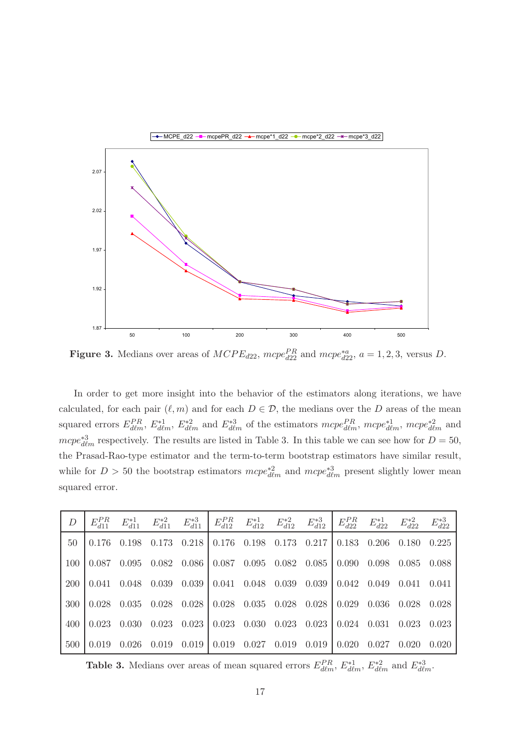

Figure 3. Medians over areas of  $MCPE_{d22}$ ,  $mcpe_{d22}^{PR}$  and  $mcpe_{d22}^{*a}$ ,  $a = 1, 2, 3$ , versus D.

In order to get more insight into the behavior of the estimators along iterations, we have calculated, for each pair  $(\ell, m)$  and for each  $D \in \mathcal{D}$ , the medians over the D areas of the mean squared errors  $E_{d\ell m}^{PR}$ ,  $E_{d\ell m}^{*1}$ ,  $E_{d\ell m}^{*2}$  and  $E_{d\ell m}^{*3}$  of the estimators  $mcpe_{d\ell m}^{PR}$ ,  $mcpe_{d\ell m}^{*1}$ ,  $mcpe_{d\ell m}^{*2}$  and  $mcpe^{*3}_{d\ell m}$  respectively. The results are listed in Table 3. In this table we can see how for  $D = 50$ , the Prasad-Rao-type estimator and the term-to-term bootstrap estimators have similar result, while for  $D > 50$  the bootstrap estimators  $mcpe_{d\ell m}^{*2}$  and  $mcpe_{d\ell m}^{*3}$  present slightly lower mean squared error.

| $\boldsymbol{D}$ | $E_{d11}^{PR}$ | $E_{d11}^{*1}$ |       |                       | $E_{d11}^{*2}$ $E_{d11}^{*3}$ $E_{d12}^{PR}$ $E_{d12}^{*1}$ $E_{d12}^{*2}$ $E_{d12}^{*3}$ $E_{d12}^{PR}$ |       |       |       |       | $E_{d22}^{*1}$ | $E_{d22}^{*2}$ | $E_{d22}^{*3}$ |
|------------------|----------------|----------------|-------|-----------------------|----------------------------------------------------------------------------------------------------------|-------|-------|-------|-------|----------------|----------------|----------------|
| 50 <sup>°</sup>  | 0.176          | 0.198          | 0.173 | $0.218 \pm 0.176$     |                                                                                                          | 0.198 | 0.173 | 0.217 | 0.183 | 0.206          | 0.180          | 0.225          |
| 100              | 0.087          | 0.095          |       | $0.082 \quad 0.086$ L | 0.087                                                                                                    | 0.095 | 0.082 | 0.085 | 0.090 | 0.098          | 0.085          | 0.088          |
| <b>200</b>       | 0.041          | 0.048          | 0.039 | 0.039                 | 0.041                                                                                                    | 0.048 | 0.039 | 0.039 | 0.042 | 0.049          | 0.041          | (0.041)        |
| 300              | 0.028          | 0.035          | 0.028 | 0.028 1               | 0.028                                                                                                    | 0.035 | 0.028 | 0.028 | 0.029 | 0.036          | 0.028          | 0.028          |
| 400              | 0.023          | 0.030          | 0.023 | 0.023                 | 0.023                                                                                                    | 0.030 | 0.023 | 0.023 | 0.024 | 0.031          | 0.023          | 0.023          |
| 500              | 0.019          | 0.026          | 0.019 | 0.019                 | 0.019                                                                                                    | 0.027 | 0.019 | 0.019 | 0.020 | 0.027          | 0.020          | 0.020          |

**Table 3.** Medians over areas of mean squared errors  $E_{d\ell m}^{PR}$ ,  $E_{d\ell m}^{*1}$ ,  $E_{d\ell m}^{*2}$  and  $E_{d\ell m}^{*3}$ .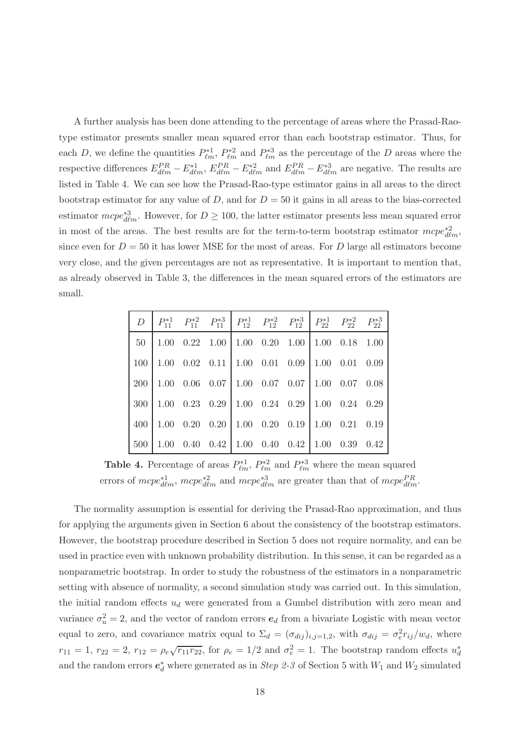A further analysis has been done attending to the percentage of areas where the Prasad-Raotype estimator presents smaller mean squared error than each bootstrap estimator. Thus, for each D, we define the quantities  $P_{\ell m}^{*1}$ ,  $P_{\ell m}^{*2}$  and  $P_{\ell m}^{*3}$  as the percentage of the D areas where the respective differences  $E_{d\ell m}^{PR} - E_{d\ell m}^{*1}$ ,  $E_{d\ell m}^{PR} - E_{d\ell m}^{*2}$  and  $E_{d\ell m}^{PR} - E_{d\ell m}^{*3}$  are negative. The results are listed in Table 4. We can see how the Prasad-Rao-type estimator gains in all areas to the direct bootstrap estimator for any value of D, and for  $D = 50$  it gains in all areas to the bias-corrected estimator  $mcpe_{d\ell m}^{*3}$ . However, for  $D \ge 100$ , the latter estimator presents less mean squared error in most of the areas. The best results are for the term-to-term bootstrap estimator  $mcpe_{d\ell m}^{*2}$ , since even for  $D = 50$  it has lower MSE for the most of areas. For D large all estimators become very close, and the given percentages are not as representative. It is important to mention that, as already observed in Table 3, the differences in the mean squared errors of the estimators are small.

| $50$   1.00 0.22 1.00   1.00 0.20 1.00   1.00 0.18 1.00                         |  |  |  |  |
|---------------------------------------------------------------------------------|--|--|--|--|
| $100\begin{array}{ l} 1.00 \end{array}$ 0.02 0.11 1.00 0.01 0.09 1.00 0.01 0.09 |  |  |  |  |
| $200$ 1.00 0.06 0.07 1.00 0.07 0.07 1.00 0.07 0.08                              |  |  |  |  |
| 300 1.00 0.23 0.29 1.00 0.24 0.29 1.00 0.24 0.29                                |  |  |  |  |
| $400$   1.00 0.20 0.20   1.00 0.20 0.19   1.00 0.21 0.19                        |  |  |  |  |
| $500\begin{array}{ l} 1.00 \end{array}$ 0.40 0.42 1.00 0.40 0.42 1.00 0.39 0.42 |  |  |  |  |

Table 4. Percentage of areas  $P_{\ell m}^{*1}$ ,  $P_{\ell m}^{*2}$  and  $P_{\ell m}^{*3}$  where the mean squared errors of  $mcpe_{d\ell m}^{*1}$ ,  $mcpe_{d\ell m}^{*2}$  and  $mcpe_{d\ell m}^{*3}$  are greater than that of  $mcpe_{d\ell m}^{PR}$ .

The normality assumption is essential for deriving the Prasad-Rao approximation, and thus for applying the arguments given in Section 6 about the consistency of the bootstrap estimators. However, the bootstrap procedure described in Section 5 does not require normality, and can be used in practice even with unknown probability distribution. In this sense, it can be regarded as a nonparametric bootstrap. In order to study the robustness of the estimators in a nonparametric setting with absence of normality, a second simulation study was carried out. In this simulation, the initial random effects  $u_d$  were generated from a Gumbel distribution with zero mean and variance  $\sigma_u^2 = 2$ , and the vector of random errors  $e_d$  from a bivariate Logistic with mean vector equal to zero, and covariance matrix equal to  $\Sigma_d = (\sigma_{dij})_{i,j=1,2}$ , with  $\sigma_{dij} = \sigma_e^2 r_{ij}/w_d$ , where  $r_{11} = 1, r_{22} = 2, r_{12} = \rho_e \sqrt{r_{11}r_{22}},$  for  $\rho_e = 1/2$  and  $\sigma_e^2 = 1$ . The bootstrap random effects  $u_d^*$ d and the random errors  $e_d^*$  where generated as in *Step 2-3* of Section 5 with  $W_1$  and  $W_2$  simulated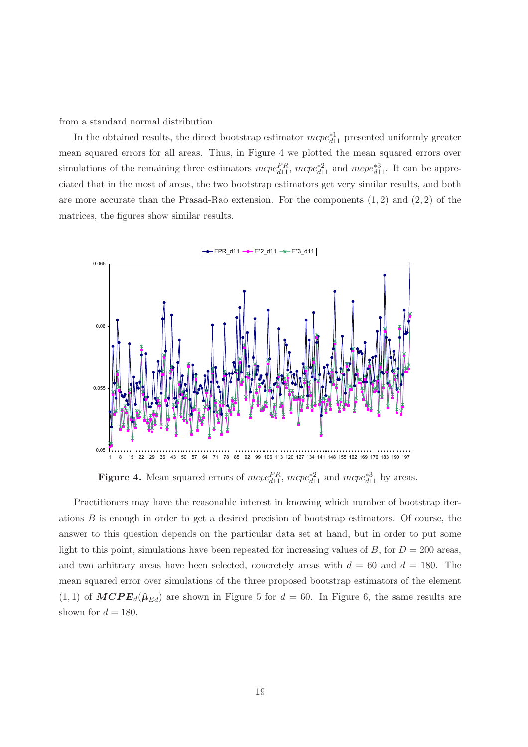from a standard normal distribution.

In the obtained results, the direct bootstrap estimator  $mcpe_{d11}^{*1}$  presented uniformly greater mean squared errors for all areas. Thus, in Figure 4 we plotted the mean squared errors over simulations of the remaining three estimators  $mcpe_{d11}^{PR}$ ,  $mcpe_{d11}^{*2}$  and  $mcpe_{d11}^{*3}$ . It can be appreciated that in the most of areas, the two bootstrap estimators get very similar results, and both are more accurate than the Prasad-Rao extension. For the components  $(1, 2)$  and  $(2, 2)$  of the matrices, the figures show similar results.



Figure 4. Mean squared errors of  $mcpe_{d11}^{PR}$ ,  $mcpe_{d11}^{*2}$  and  $mcpe_{d11}^{*3}$  by areas.

Practitioners may have the reasonable interest in knowing which number of bootstrap iterations B is enough in order to get a desired precision of bootstrap estimators. Of course, the answer to this question depends on the particular data set at hand, but in order to put some light to this point, simulations have been repeated for increasing values of B, for  $D = 200$  areas, and two arbitrary areas have been selected, concretely areas with  $d = 60$  and  $d = 180$ . The mean squared error over simulations of the three proposed bootstrap estimators of the element  $(1, 1)$  of  $MCPE_d(\hat{\mu}_{Ed})$  are shown in Figure 5 for  $d = 60$ . In Figure 6, the same results are shown for  $d = 180$ .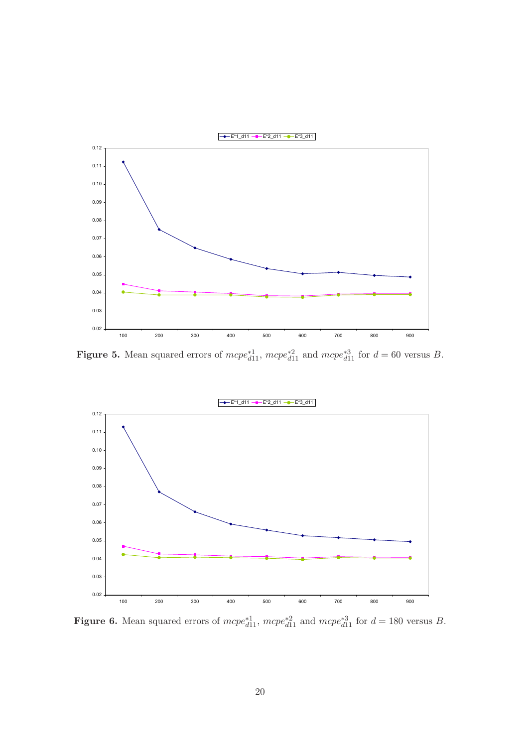

Figure 5. Mean squared errors of  $mcpe_{d11}^{*1}$ ,  $mcpe_{d11}^{*2}$  and  $mcpe_{d11}^{*3}$  for  $d = 60$  versus B.



Figure 6. Mean squared errors of  $mcpe_{d11}^{*1}$ ,  $mcpe_{d11}^{*2}$  and  $mcpe_{d11}^{*3}$  for  $d = 180$  versus B.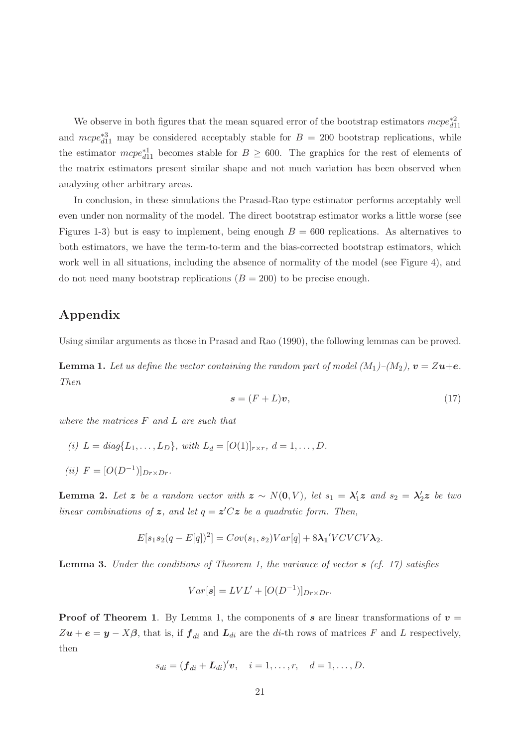We observe in both figures that the mean squared error of the bootstrap estimators  $mcpe_{d11}^{*2}$ and  $mcpe_{d11}^{*3}$  may be considered acceptably stable for  $B = 200$  bootstrap replications, while the estimator  $mcpe_{d11}^{*1}$  becomes stable for  $B \geq 600$ . The graphics for the rest of elements of the matrix estimators present similar shape and not much variation has been observed when analyzing other arbitrary areas.

In conclusion, in these simulations the Prasad-Rao type estimator performs acceptably well even under non normality of the model. The direct bootstrap estimator works a little worse (see Figures 1-3) but is easy to implement, being enough  $B = 600$  replications. As alternatives to both estimators, we have the term-to-term and the bias-corrected bootstrap estimators, which work well in all situations, including the absence of normality of the model (see Figure 4), and do not need many bootstrap replications  $(B = 200)$  to be precise enough.

## Appendix

Using similar arguments as those in Prasad and Rao (1990), the following lemmas can be proved.

**Lemma 1.** Let us define the vector containing the random part of model  $(M_1)$ – $(M_2)$ ,  $v = Zu + e$ . Then

$$
\mathbf{s} = (F + L)\mathbf{v},\tag{17}
$$

where the matrices F and L are such that

- (i)  $L = diag\{L_1, \ldots, L_D\}$ , with  $L_d = [O(1)]_{r \times r}$ ,  $d = 1, \ldots, D$ .
- (*ii*)  $F = [O(D^{-1})]_{Dr \times Dr}$ .

**Lemma 2.** Let z be a random vector with  $z \sim N(0, V)$ , let  $s_1 = \lambda'_1 z$  and  $s_2 = \lambda'_2 z$  be two linear combinations of z, and let  $q = z^{\prime}Cz$  be a quadratic form. Then,

$$
E[s_1s_2(q-E[q])^2] = Cov(s_1,s_2)Var[q] + 8\lambda_1' VCVCV\lambda_2.
$$

**Lemma 3.** Under the conditions of Theorem 1, the variance of vector  $s$  (cf. 17) satisfies

$$
Var[s] = LVL' + [O(D^{-1})]_{Dr \times Dr}.
$$

**Proof of Theorem 1.** By Lemma 1, the components of s are linear transformations of  $v =$  $Zu + e = y - X\beta$ , that is, if  $f_{di}$  and  $L_{di}$  are the di-th rows of matrices F and L respectively, then

$$
s_{di} = (\boldsymbol{f}_{di} + \boldsymbol{L}_{di})' \boldsymbol{v}, \quad i = 1, \dots, r, \quad d = 1, \dots, D.
$$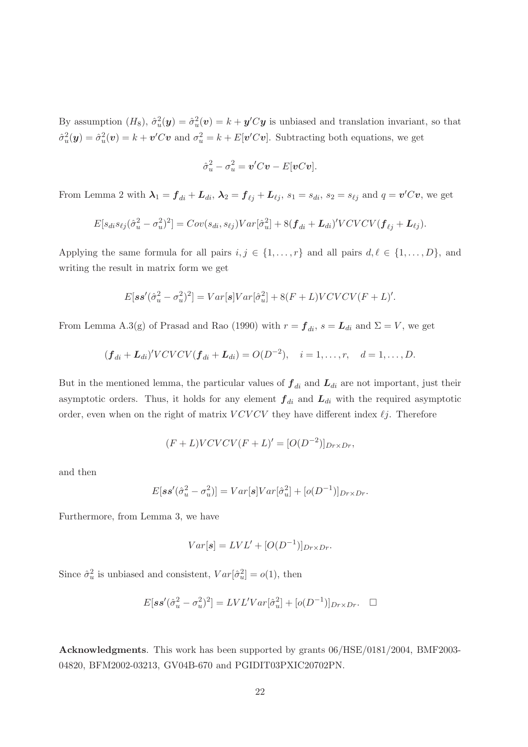By assumption  $(H_8)$ ,  $\hat{\sigma}_u^2(y) = \hat{\sigma}_u^2(v) = k + y'Cy$  is unbiased and translation invariant, so that  $\hat{\sigma}_u^2(\mathbf{y}) = \hat{\sigma}_u^2(\mathbf{v}) = k + \mathbf{v}'C\mathbf{v}$  and  $\sigma_u^2 = k + E[\mathbf{v}'C\mathbf{v}]$ . Subtracting both equations, we get

$$
\hat{\sigma}_u^2 - \sigma_u^2 = \mathbf{v}'C\mathbf{v} - E[\mathbf{v}C\mathbf{v}].
$$

From Lemma 2 with  $\lambda_1 = \mathbf{f}_{di} + \mathbf{L}_{di}$ ,  $\lambda_2 = \mathbf{f}_{\ell j} + \mathbf{L}_{\ell j}$ ,  $s_1 = s_{di}$ ,  $s_2 = s_{\ell j}$  and  $q = \mathbf{v}'C\mathbf{v}$ , we get

$$
E[s_{di}s_{\ell j}(\hat{\sigma}_u^2-\sigma_u^2)^2]=Cov(s_{di},s_{\ell j})Var[\hat{\sigma}_u^2]+8(\boldsymbol{f}_{di}+\boldsymbol{L}_{di})'VCVCV(\boldsymbol{f}_{\ell j}+\boldsymbol{L}_{\ell j}).
$$

Applying the same formula for all pairs  $i, j \in \{1, ..., r\}$  and all pairs  $d, \ell \in \{1, ..., D\}$ , and writing the result in matrix form we get

$$
E[\mathbf{s}\mathbf{s}'(\hat{\sigma}_u^2 - \sigma_u^2)^2] = Var[\mathbf{s}]Var[\hat{\sigma}_u^2] + 8(F+L)VCVCV(F+L)'.
$$

From Lemma A.3(g) of Prasad and Rao (1990) with  $r = f_{di}$ ,  $s = L_{di}$  and  $\Sigma = V$ , we get

$$
(f_{di} + L_{di})' VCVCV(f_{di} + L_{di}) = O(D^{-2}), \quad i = 1, ..., r, \quad d = 1, ..., D.
$$

But in the mentioned lemma, the particular values of  $f_{di}$  and  $L_{di}$  are not important, just their asymptotic orders. Thus, it holds for any element  $f_{di}$  and  $L_{di}$  with the required asymptotic order, even when on the right of matrix  $VCVCV$  they have different index  $\ell j$ . Therefore

$$
(F+L)VCVCV(F+L)' = [O(D^{-2})]_{Dr \times Dr},
$$

and then

$$
E[\mathbf{s}\mathbf{s}'(\hat{\sigma}_u^2 - \sigma_u^2)] = Var[\mathbf{s}]Var[\hat{\sigma}_u^2] + [o(D^{-1})]_{Dr \times Dr}.
$$

Furthermore, from Lemma 3, we have

$$
Var[s] = LVL' + [O(D^{-1})]_{Dr \times Dr}.
$$

Since  $\hat{\sigma}_u^2$  is unbiased and consistent,  $Var[\hat{\sigma}_u^2] = o(1)$ , then

$$
E[\mathbf{s}\mathbf{s}'(\hat{\sigma}_u^2 - \sigma_u^2)^2] = LVL'Var[\hat{\sigma}_u^2] + [o(D^{-1})]_{Dr \times Dr}. \quad \Box
$$

Acknowledgments. This work has been supported by grants 06/HSE/0181/2004, BMF2003- 04820, BFM2002-03213, GV04B-670 and PGIDIT03PXIC20702PN.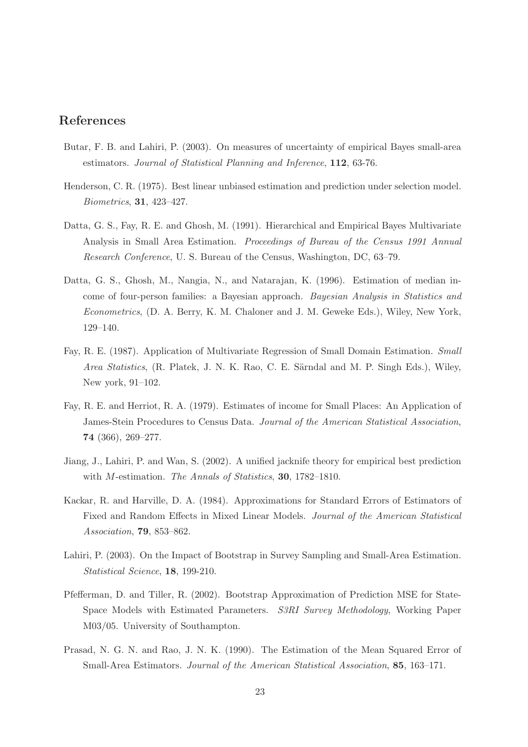## References

- Butar, F. B. and Lahiri, P. (2003). On measures of uncertainty of empirical Bayes small-area estimators. Journal of Statistical Planning and Inference, 112, 63-76.
- Henderson, C. R. (1975). Best linear unbiased estimation and prediction under selection model. Biometrics, 31, 423–427.
- Datta, G. S., Fay, R. E. and Ghosh, M. (1991). Hierarchical and Empirical Bayes Multivariate Analysis in Small Area Estimation. Proceedings of Bureau of the Census 1991 Annual Research Conference, U. S. Bureau of the Census, Washington, DC, 63–79.
- Datta, G. S., Ghosh, M., Nangia, N., and Natarajan, K. (1996). Estimation of median income of four-person families: a Bayesian approach. Bayesian Analysis in Statistics and Econometrics, (D. A. Berry, K. M. Chaloner and J. M. Geweke Eds.), Wiley, New York, 129–140.
- Fay, R. E. (1987). Application of Multivariate Regression of Small Domain Estimation. Small Area Statistics, (R. Platek, J. N. K. Rao, C. E. Särndal and M. P. Singh Eds.), Wiley, New york, 91–102.
- Fay, R. E. and Herriot, R. A. (1979). Estimates of income for Small Places: An Application of James-Stein Procedures to Census Data. Journal of the American Statistical Association, 74 (366), 269–277.
- Jiang, J., Lahiri, P. and Wan, S. (2002). A unified jacknife theory for empirical best prediction with M-estimation. The Annals of Statistics, 30, 1782–1810.
- Kackar, R. and Harville, D. A. (1984). Approximations for Standard Errors of Estimators of Fixed and Random Effects in Mixed Linear Models. Journal of the American Statistical Association, 79, 853–862.
- Lahiri, P. (2003). On the Impact of Bootstrap in Survey Sampling and Small-Area Estimation. Statistical Science, 18, 199-210.
- Pfefferman, D. and Tiller, R. (2002). Bootstrap Approximation of Prediction MSE for State-Space Models with Estimated Parameters. S3RI Survey Methodology, Working Paper M03/05. University of Southampton.
- Prasad, N. G. N. and Rao, J. N. K. (1990). The Estimation of the Mean Squared Error of Small-Area Estimators. Journal of the American Statistical Association, 85, 163–171.